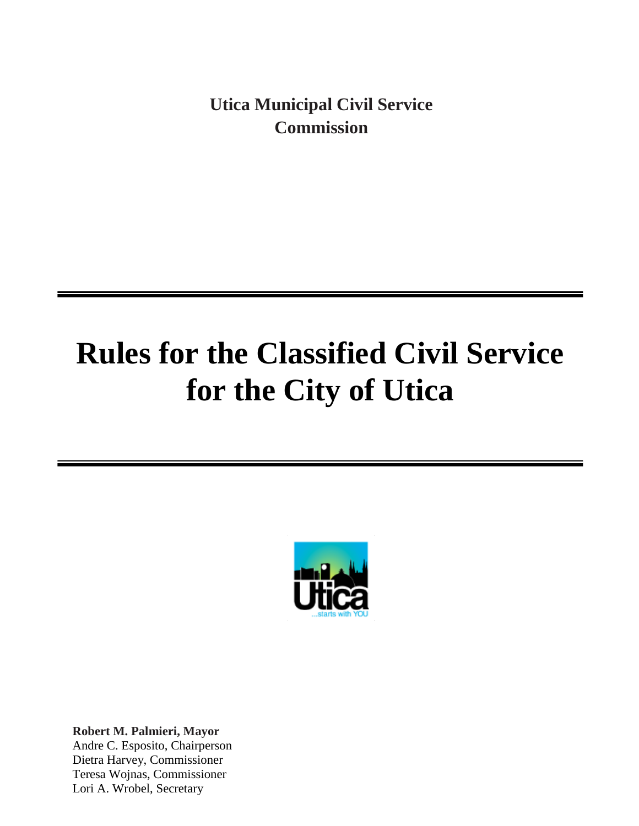**Utica Municipal Civil Service Commission**

# **Rules for the Classified Civil Service for the City of Utica**



**Robert M. Palmieri, Mayor** Andre C. Esposito, Chairperson Dietra Harvey, Commissioner Teresa Wojnas, Commissioner Lori A. Wrobel, Secretary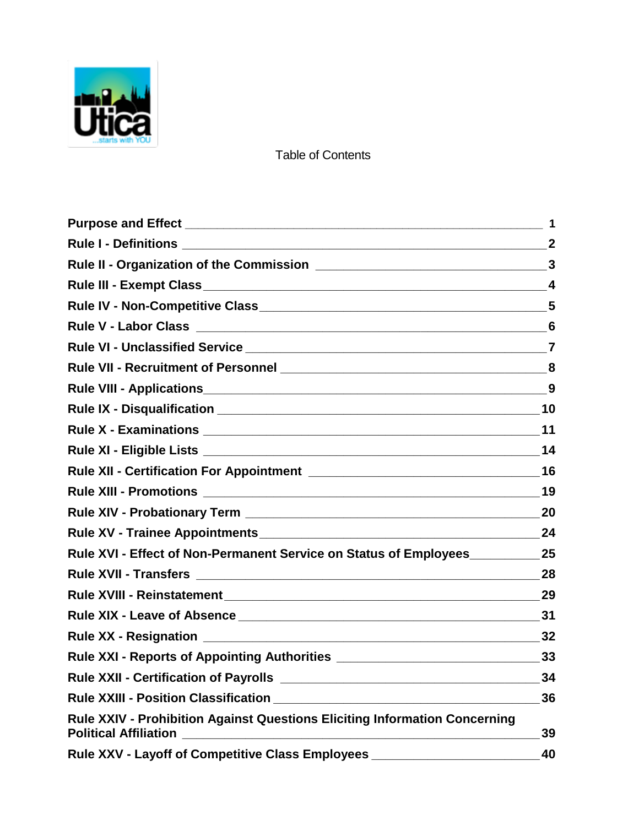

Table of Contents

| Rule V - Labor Class 6                                                                                            |    |
|-------------------------------------------------------------------------------------------------------------------|----|
|                                                                                                                   |    |
|                                                                                                                   |    |
|                                                                                                                   |    |
|                                                                                                                   |    |
|                                                                                                                   |    |
|                                                                                                                   |    |
|                                                                                                                   |    |
|                                                                                                                   |    |
|                                                                                                                   |    |
|                                                                                                                   |    |
| Rule XVI - Effect of Non-Permanent Service on Status of Employees 25                                              |    |
|                                                                                                                   |    |
|                                                                                                                   |    |
|                                                                                                                   |    |
|                                                                                                                   |    |
| Rule XXI - Reports of Appointing Authorities ___________________________________33                                |    |
|                                                                                                                   |    |
|                                                                                                                   |    |
| <b>Rule XXIV - Prohibition Against Questions Eliciting Information Concerning</b><br><b>Political Affiliation</b> | 39 |
| Rule XXV - Layoff of Competitive Class Employees                                                                  | 40 |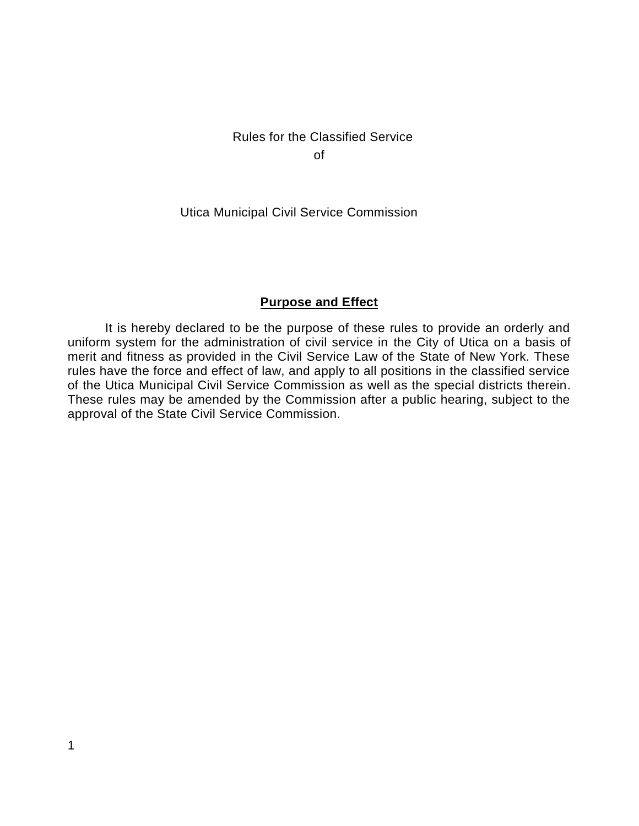# Rules for the Classified Service of

Utica Municipal Civil Service Commission

#### **Purpose and Effect**

It is hereby declared to be the purpose of these rules to provide an orderly and uniform system for the administration of civil service in the City of Utica on a basis of merit and fitness as provided in the Civil Service Law of the State of New York. These rules have the force and effect of law, and apply to all positions in the classified service of the Utica Municipal Civil Service Commission as well as the special districts therein. These rules may be amended by the Commission after a public hearing, subject to the approval of the State Civil Service Commission.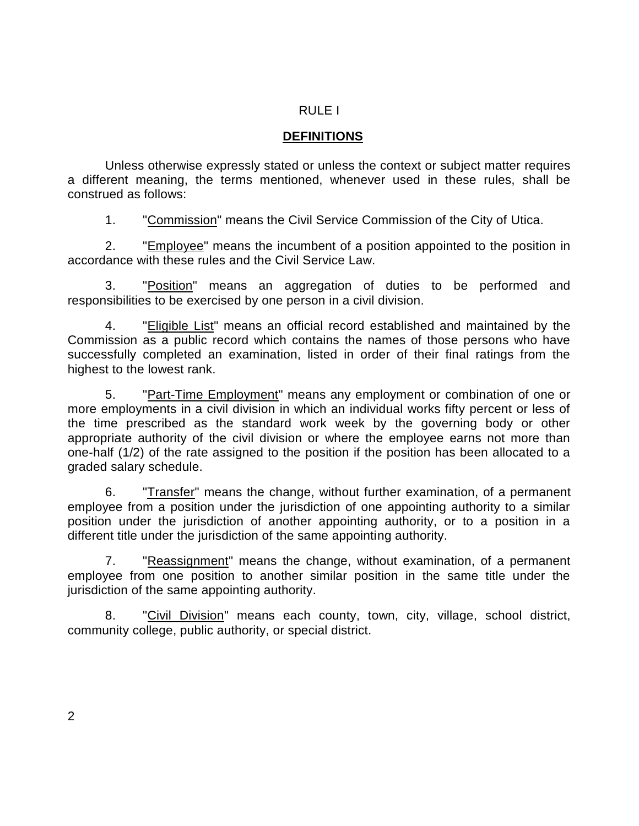#### RULE I

#### **DEFINITIONS**

Unless otherwise expressly stated or unless the context or subject matter requires a different meaning, the terms mentioned, whenever used in these rules, shall be construed as follows:

1. "Commission" means the Civil Service Commission of the City of Utica.

2. "Employee" means the incumbent of a position appointed to the position in accordance with these rules and the Civil Service Law.

3. "Position" means an aggregation of duties to be performed and responsibilities to be exercised by one person in a civil division.

4. "Eligible List" means an official record established and maintained by the Commission as a public record which contains the names of those persons who have successfully completed an examination, listed in order of their final ratings from the highest to the lowest rank.

5. "Part-Time Employment" means any employment or combination of one or more employments in a civil division in which an individual works fifty percent or less of the time prescribed as the standard work week by the governing body or other appropriate authority of the civil division or where the employee earns not more than one-half (1/2) of the rate assigned to the position if the position has been allocated to a graded salary schedule.

6. "Transfer" means the change, without further examination, of a permanent employee from a position under the jurisdiction of one appointing authority to a similar position under the jurisdiction of another appointing authority, or to a position in a different title under the jurisdiction of the same appointing authority.

7. "Reassignment" means the change, without examination, of a permanent employee from one position to another similar position in the same title under the jurisdiction of the same appointing authority.

8. "Civil Division" means each county, town, city, village, school district, community college, public authority, or special district.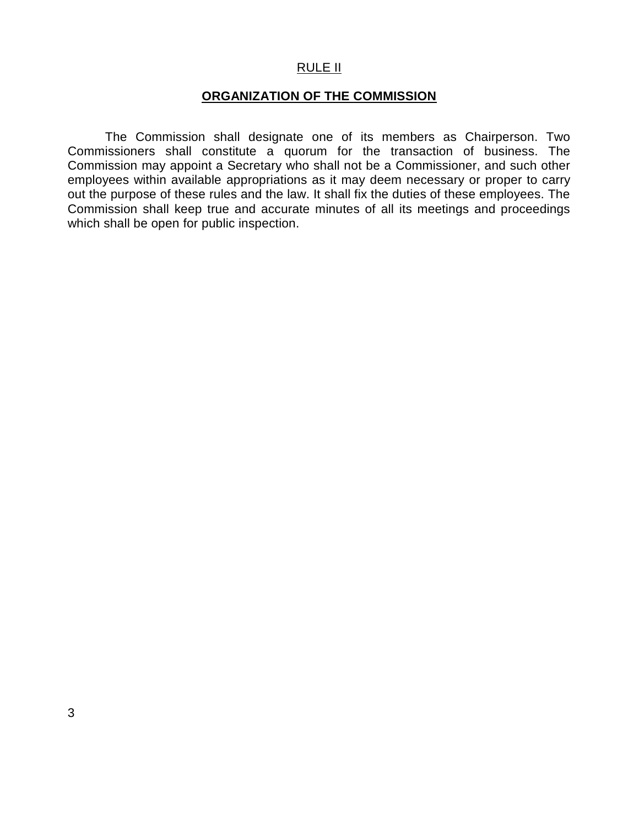#### RULE II

## **ORGANIZATION OF THE COMMISSION**

The Commission shall designate one of its members as Chairperson. Two Commissioners shall constitute a quorum for the transaction of business. The Commission may appoint a Secretary who shall not be a Commissioner, and such other employees within available appropriations as it may deem necessary or proper to carry out the purpose of these rules and the law. It shall fix the duties of these employees. The Commission shall keep true and accurate minutes of all its meetings and proceedings which shall be open for public inspection.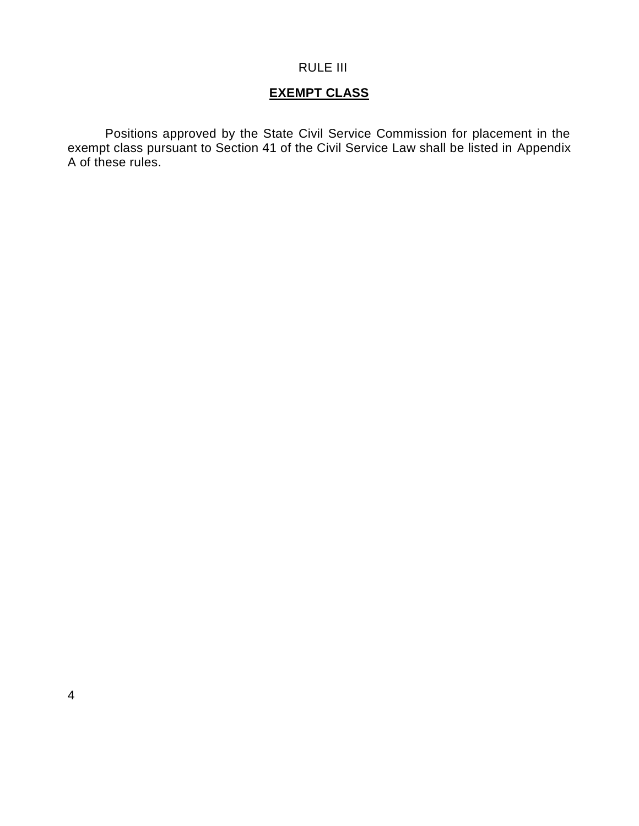#### RULE III

# **EXEMPT CLASS**

Positions approved by the State Civil Service Commission for placement in the exempt class pursuant to Section 41 of the Civil Service Law shall be listed in Appendix A of these rules.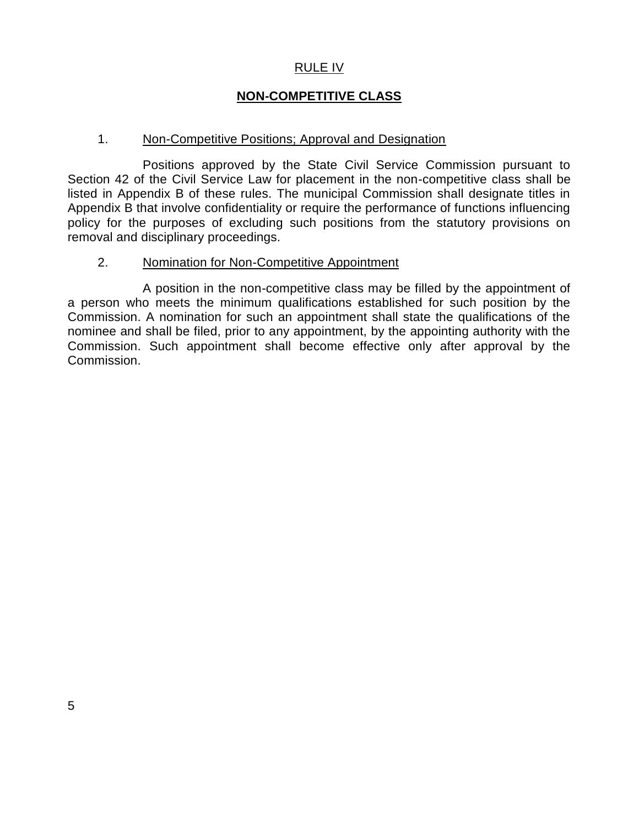#### RULE IV

## **NON-COMPETITIVE CLASS**

#### 1. Non-Competitive Positions; Approval and Designation

Positions approved by the State Civil Service Commission pursuant to Section 42 of the Civil Service Law for placement in the non-competitive class shall be listed in Appendix B of these rules. The municipal Commission shall designate titles in Appendix B that involve confidentiality or require the performance of functions influencing policy for the purposes of excluding such positions from the statutory provisions on removal and disciplinary proceedings.

#### 2. Nomination for Non-Competitive Appointment

A position in the non-competitive class may be filled by the appointment of a person who meets the minimum qualifications established for such position by the Commission. A nomination for such an appointment shall state the qualifications of the nominee and shall be filed, prior to any appointment, by the appointing authority with the Commission. Such appointment shall become effective only after approval by the Commission.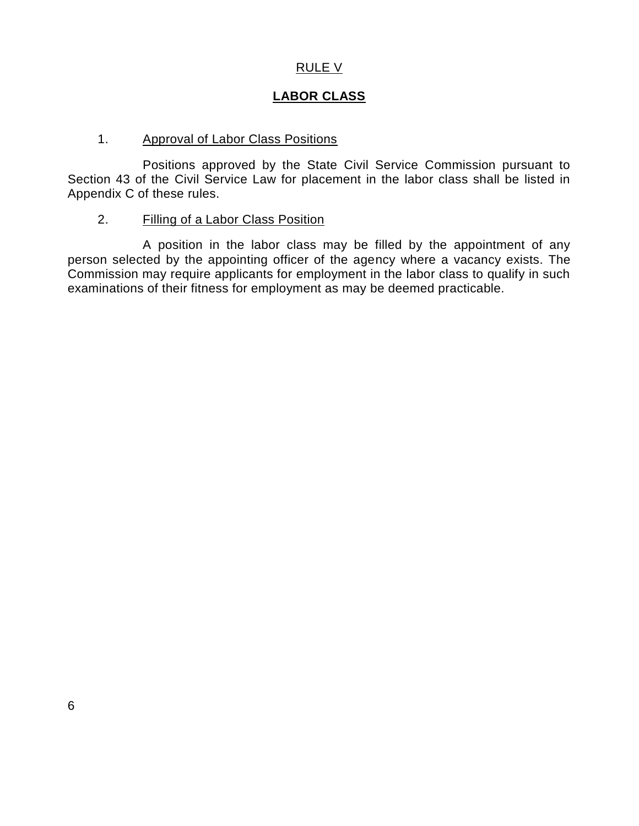## RULE V

# **LABOR CLASS**

## 1. Approval of Labor Class Positions

Positions approved by the State Civil Service Commission pursuant to Section 43 of the Civil Service Law for placement in the labor class shall be listed in Appendix C of these rules.

## 2. Filling of a Labor Class Position

A position in the labor class may be filled by the appointment of any person selected by the appointing officer of the agency where a vacancy exists. The Commission may require applicants for employment in the labor class to qualify in such examinations of their fitness for employment as may be deemed practicable.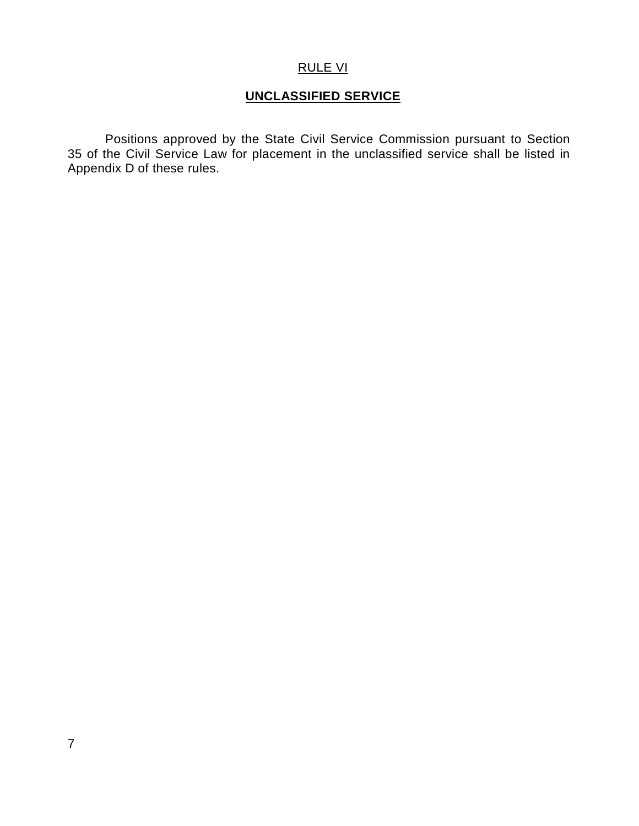## RULE VI

# **UNCLASSIFIED SERVICE**

Positions approved by the State Civil Service Commission pursuant to Section 35 of the Civil Service Law for placement in the unclassified service shall be listed in Appendix D of these rules.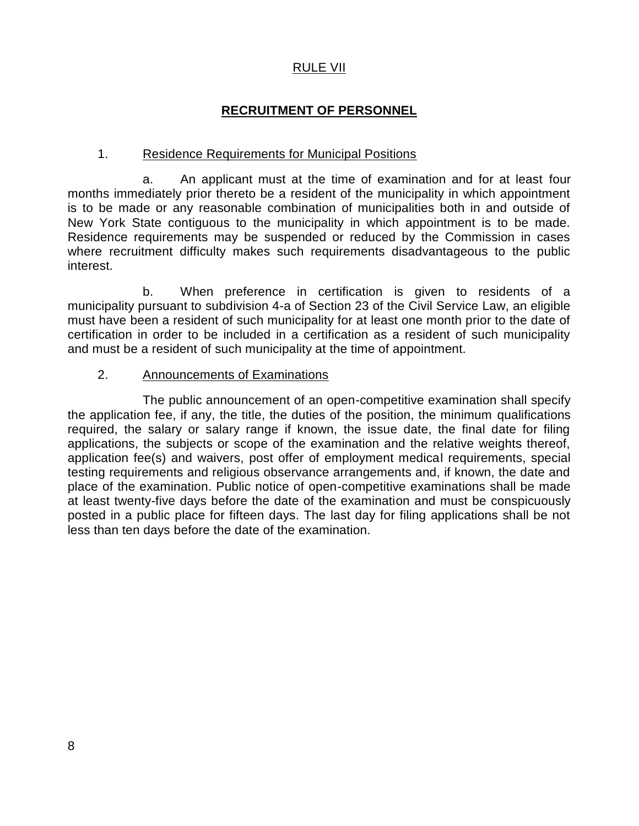#### RULE VII

## **RECRUITMENT OF PERSONNEL**

#### 1. Residence Requirements for Municipal Positions

a. An applicant must at the time of examination and for at least four months immediately prior thereto be a resident of the municipality in which appointment is to be made or any reasonable combination of municipalities both in and outside of New York State contiguous to the municipality in which appointment is to be made. Residence requirements may be suspended or reduced by the Commission in cases where recruitment difficulty makes such requirements disadvantageous to the public interest.

b. When preference in certification is given to residents of a municipality pursuant to subdivision 4-a of Section 23 of the Civil Service Law, an eligible must have been a resident of such municipality for at least one month prior to the date of certification in order to be included in a certification as a resident of such municipality and must be a resident of such municipality at the time of appointment.

#### 2. Announcements of Examinations

The public announcement of an open-competitive examination shall specify the application fee, if any, the title, the duties of the position, the minimum qualifications required, the salary or salary range if known, the issue date, the final date for filing applications, the subjects or scope of the examination and the relative weights thereof, application fee(s) and waivers, post offer of employment medical requirements, special testing requirements and religious observance arrangements and, if known, the date and place of the examination. Public notice of open-competitive examinations shall be made at least twenty-five days before the date of the examination and must be conspicuously posted in a public place for fifteen days. The last day for filing applications shall be not less than ten days before the date of the examination.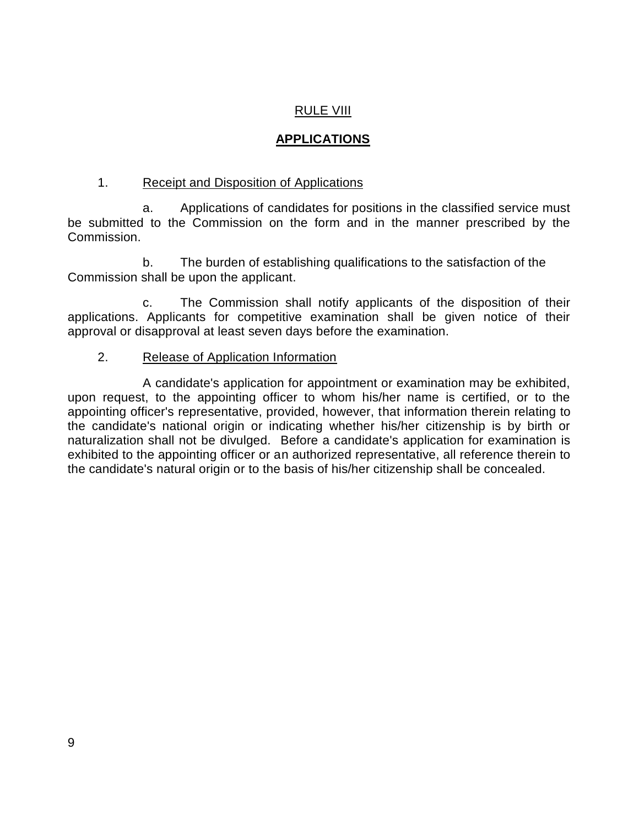# RULE VIII

# **APPLICATIONS**

#### 1. Receipt and Disposition of Applications

a. Applications of candidates for positions in the classified service must be submitted to the Commission on the form and in the manner prescribed by the Commission.

b. The burden of establishing qualifications to the satisfaction of the Commission shall be upon the applicant.

c. The Commission shall notify applicants of the disposition of their applications. Applicants for competitive examination shall be given notice of their approval or disapproval at least seven days before the examination.

#### 2. Release of Application Information

A candidate's application for appointment or examination may be exhibited, upon request, to the appointing officer to whom his/her name is certified, or to the appointing officer's representative, provided, however, that information therein relating to the candidate's national origin or indicating whether his/her citizenship is by birth or naturalization shall not be divulged. Before a candidate's application for examination is exhibited to the appointing officer or an authorized representative, all reference therein to the candidate's natural origin or to the basis of his/her citizenship shall be concealed.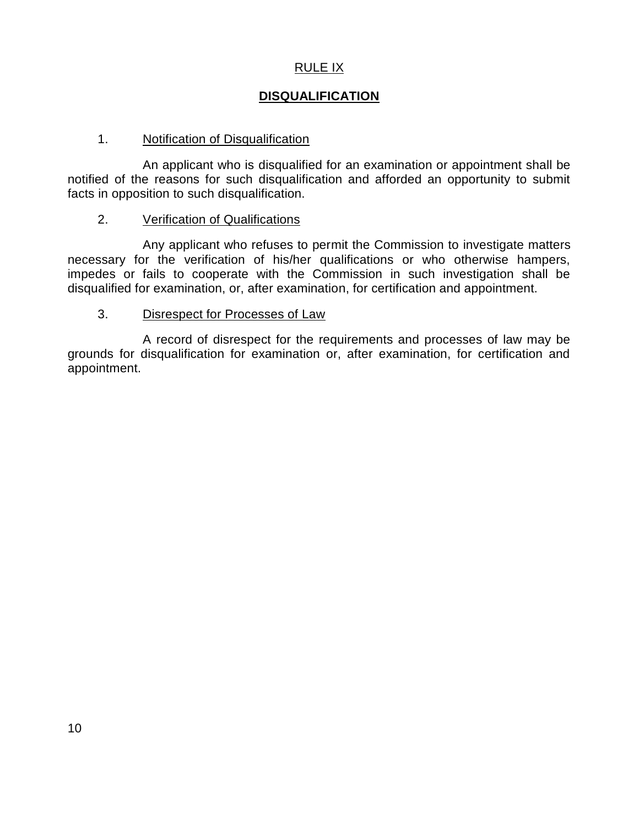# RULE IX

# **DISQUALIFICATION**

### 1. Notification of Disqualification

An applicant who is disqualified for an examination or appointment shall be notified of the reasons for such disqualification and afforded an opportunity to submit facts in opposition to such disqualification.

#### 2. Verification of Qualifications

Any applicant who refuses to permit the Commission to investigate matters necessary for the verification of his/her qualifications or who otherwise hampers, impedes or fails to cooperate with the Commission in such investigation shall be disqualified for examination, or, after examination, for certification and appointment.

#### 3. Disrespect for Processes of Law

A record of disrespect for the requirements and processes of law may be grounds for disqualification for examination or, after examination, for certification and appointment.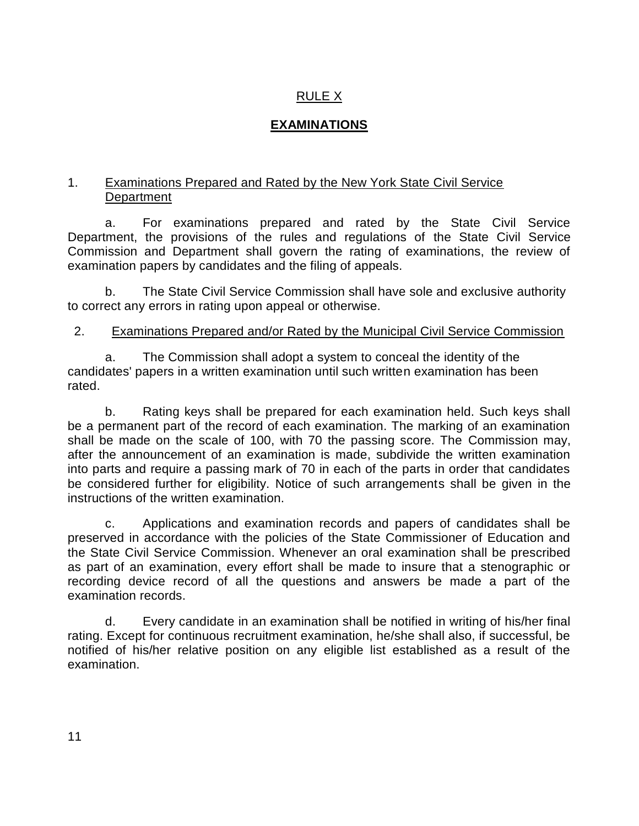# RULE X

# **EXAMINATIONS**

## 1. Examinations Prepared and Rated by the New York State Civil Service **Department**

a. For examinations prepared and rated by the State Civil Service Department, the provisions of the rules and regulations of the State Civil Service Commission and Department shall govern the rating of examinations, the review of examination papers by candidates and the filing of appeals.

b. The State Civil Service Commission shall have sole and exclusive authority to correct any errors in rating upon appeal or otherwise.

## 2. Examinations Prepared and/or Rated by the Municipal Civil Service Commission

a. The Commission shall adopt a system to conceal the identity of the candidates' papers in a written examination until such written examination has been rated.

b. Rating keys shall be prepared for each examination held. Such keys shall be a permanent part of the record of each examination. The marking of an examination shall be made on the scale of 100, with 70 the passing score. The Commission may, after the announcement of an examination is made, subdivide the written examination into parts and require a passing mark of 70 in each of the parts in order that candidates be considered further for eligibility. Notice of such arrangements shall be given in the instructions of the written examination.

c. Applications and examination records and papers of candidates shall be preserved in accordance with the policies of the State Commissioner of Education and the State Civil Service Commission. Whenever an oral examination shall be prescribed as part of an examination, every effort shall be made to insure that a stenographic or recording device record of all the questions and answers be made a part of the examination records.

d. Every candidate in an examination shall be notified in writing of his/her final rating. Except for continuous recruitment examination, he/she shall also, if successful, be notified of his/her relative position on any eligible list established as a result of the examination.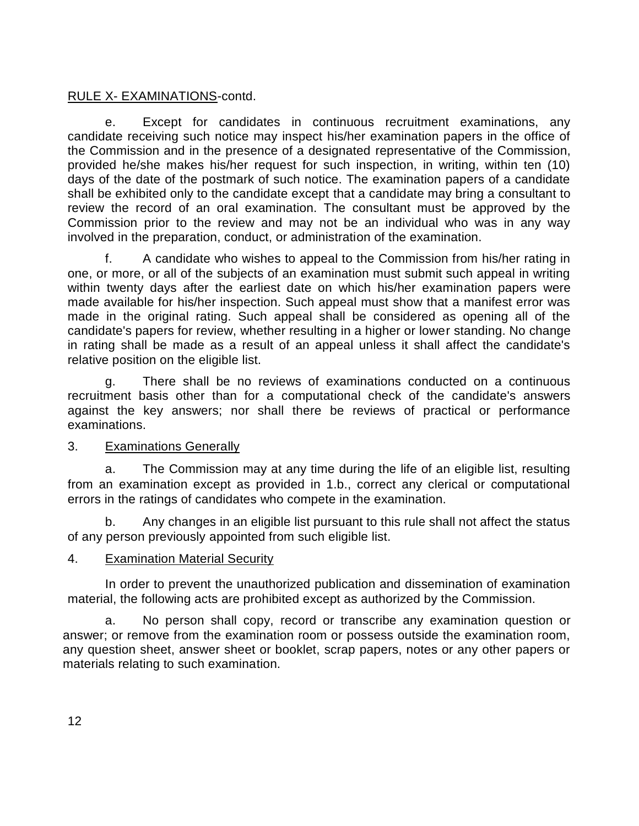## RULE X- EXAMINATIONS-contd.

e. Except for candidates in continuous recruitment examinations, any candidate receiving such notice may inspect his/her examination papers in the office of the Commission and in the presence of a designated representative of the Commission, provided he/she makes his/her request for such inspection, in writing, within ten (10) days of the date of the postmark of such notice. The examination papers of a candidate shall be exhibited only to the candidate except that a candidate may bring a consultant to review the record of an oral examination. The consultant must be approved by the Commission prior to the review and may not be an individual who was in any way involved in the preparation, conduct, or administration of the examination.

f. A candidate who wishes to appeal to the Commission from his/her rating in one, or more, or all of the subjects of an examination must submit such appeal in writing within twenty days after the earliest date on which his/her examination papers were made available for his/her inspection. Such appeal must show that a manifest error was made in the original rating. Such appeal shall be considered as opening all of the candidate's papers for review, whether resulting in a higher or lower standing. No change in rating shall be made as a result of an appeal unless it shall affect the candidate's relative position on the eligible list.

g. There shall be no reviews of examinations conducted on a continuous recruitment basis other than for a computational check of the candidate's answers against the key answers; nor shall there be reviews of practical or performance examinations.

#### 3. Examinations Generally

a. The Commission may at any time during the life of an eligible list, resulting from an examination except as provided in 1.b., correct any clerical or computational errors in the ratings of candidates who compete in the examination.

b. Any changes in an eligible list pursuant to this rule shall not affect the status of any person previously appointed from such eligible list.

#### 4. Examination Material Security

In order to prevent the unauthorized publication and dissemination of examination material, the following acts are prohibited except as authorized by the Commission.

a. No person shall copy, record or transcribe any examination question or answer; or remove from the examination room or possess outside the examination room, any question sheet, answer sheet or booklet, scrap papers, notes or any other papers or materials relating to such examination.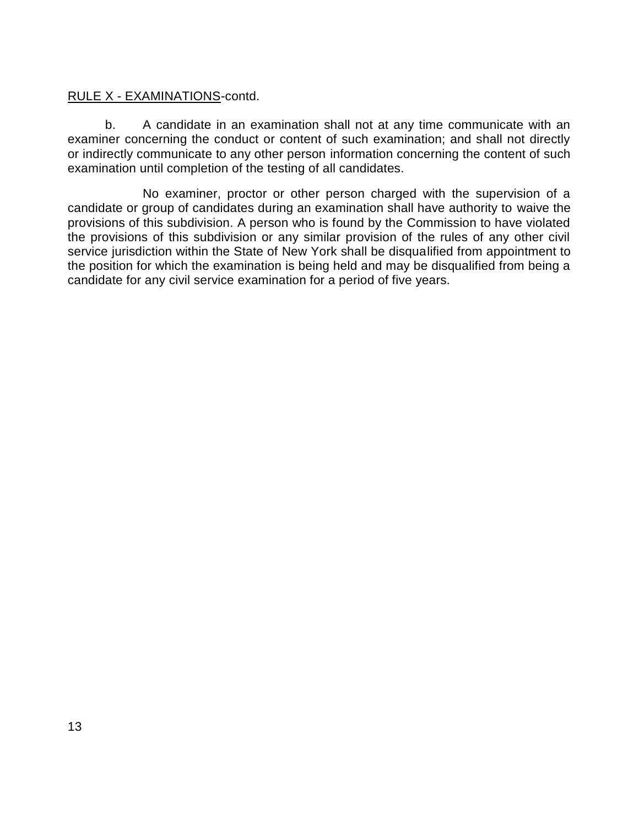## RULE X - EXAMINATIONS-contd.

b. A candidate in an examination shall not at any time communicate with an examiner concerning the conduct or content of such examination; and shall not directly or indirectly communicate to any other person information concerning the content of such examination until completion of the testing of all candidates.

No examiner, proctor or other person charged with the supervision of a candidate or group of candidates during an examination shall have authority to waive the provisions of this subdivision. A person who is found by the Commission to have violated the provisions of this subdivision or any similar provision of the rules of any other civil service jurisdiction within the State of New York shall be disqualified from appointment to the position for which the examination is being held and may be disqualified from being a candidate for any civil service examination for a period of five years.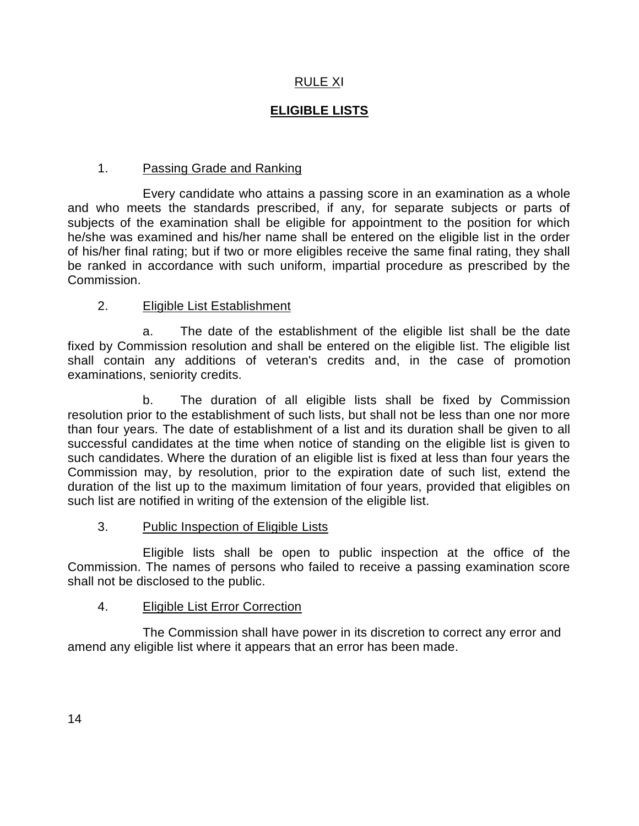# RULE XI

# **ELIGIBLE LISTS**

## 1. Passing Grade and Ranking

Every candidate who attains a passing score in an examination as a whole and who meets the standards prescribed, if any, for separate subjects or parts of subjects of the examination shall be eligible for appointment to the position for which he/she was examined and his/her name shall be entered on the eligible list in the order of his/her final rating; but if two or more eligibles receive the same final rating, they shall be ranked in accordance with such uniform, impartial procedure as prescribed by the Commission.

## 2. Eligible List Establishment

a. The date of the establishment of the eligible list shall be the date fixed by Commission resolution and shall be entered on the eligible list. The eligible list shall contain any additions of veteran's credits and, in the case of promotion examinations, seniority credits.

b. The duration of all eligible lists shall be fixed by Commission resolution prior to the establishment of such lists, but shall not be less than one nor more than four years. The date of establishment of a list and its duration shall be given to all successful candidates at the time when notice of standing on the eligible list is given to such candidates. Where the duration of an eligible list is fixed at less than four years the Commission may, by resolution, prior to the expiration date of such list, extend the duration of the list up to the maximum limitation of four years, provided that eligibles on such list are notified in writing of the extension of the eligible list.

## 3. Public Inspection of Eligible Lists

Eligible lists shall be open to public inspection at the office of the Commission. The names of persons who failed to receive a passing examination score shall not be disclosed to the public.

## 4. Eligible List Error Correction

The Commission shall have power in its discretion to correct any error and amend any eligible list where it appears that an error has been made.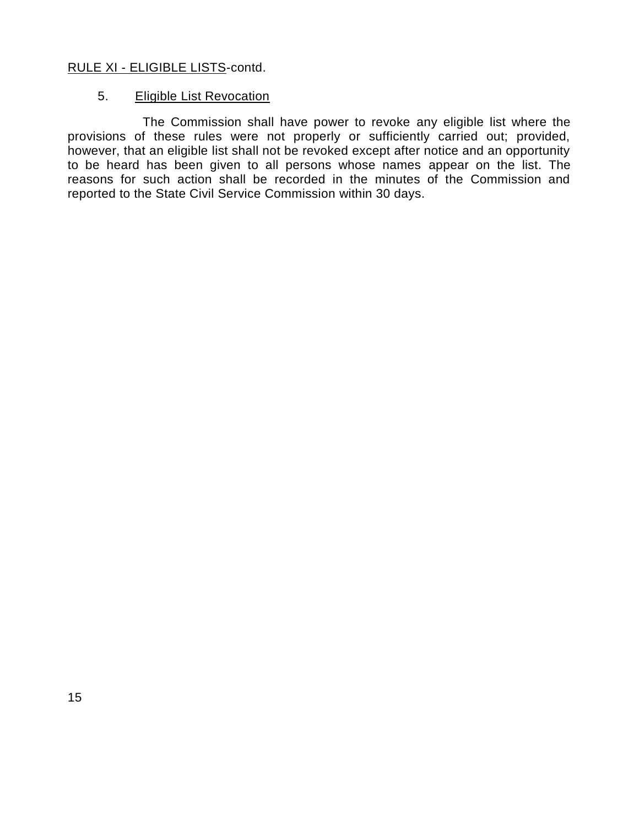#### RULE XI - ELIGIBLE LISTS-contd.

#### 5. Eligible List Revocation

The Commission shall have power to revoke any eligible list where the provisions of these rules were not properly or sufficiently carried out; provided, however, that an eligible list shall not be revoked except after notice and an opportunity to be heard has been given to all persons whose names appear on the list. The reasons for such action shall be recorded in the minutes of the Commission and reported to the State Civil Service Commission within 30 days.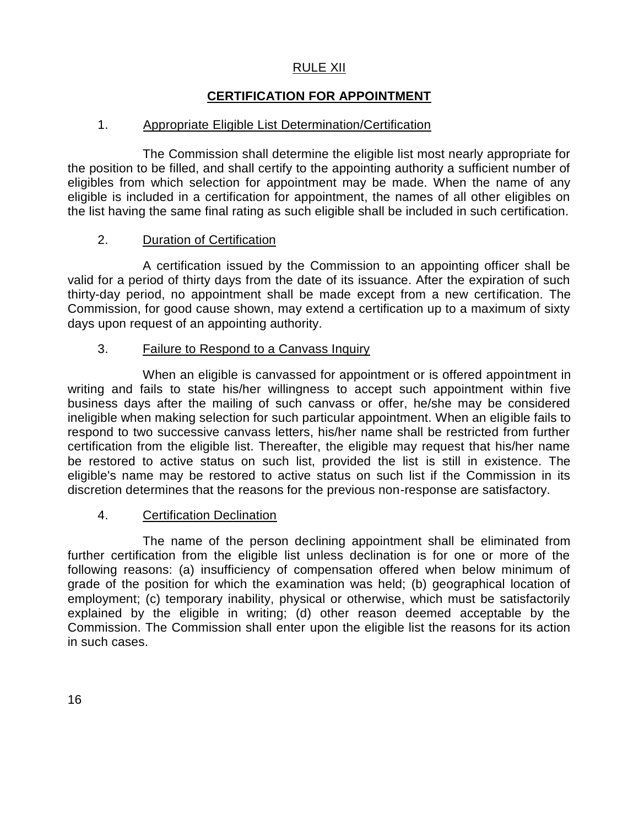### RULE XII

## **CERTIFICATION FOR APPOINTMENT**

### 1. Appropriate Eligible List Determination/Certification

The Commission shall determine the eligible list most nearly appropriate for the position to be filled, and shall certify to the appointing authority a sufficient number of eligibles from which selection for appointment may be made. When the name of any eligible is included in a certification for appointment, the names of all other eligibles on the list having the same final rating as such eligible shall be included in such certification.

#### 2. Duration of Certification

A certification issued by the Commission to an appointing officer shall be valid for a period of thirty days from the date of its issuance. After the expiration of such thirty-day period, no appointment shall be made except from a new certification. The Commission, for good cause shown, may extend a certification up to a maximum of sixty days upon request of an appointing authority.

#### 3. Failure to Respond to a Canvass Inquiry

When an eligible is canvassed for appointment or is offered appointment in writing and fails to state his/her willingness to accept such appointment within five business days after the mailing of such canvass or offer, he/she may be considered ineligible when making selection for such particular appointment. When an eligible fails to respond to two successive canvass letters, his/her name shall be restricted from further certification from the eligible list. Thereafter, the eligible may request that his/her name be restored to active status on such list, provided the list is still in existence. The eligible's name may be restored to active status on such list if the Commission in its discretion determines that the reasons for the previous non-response are satisfactory.

#### 4. Certification Declination

The name of the person declining appointment shall be eliminated from further certification from the eligible list unless declination is for one or more of the following reasons: (a) insufficiency of compensation offered when below minimum of grade of the position for which the examination was held; (b) geographical location of employment; (c) temporary inability, physical or otherwise, which must be satisfactorily explained by the eligible in writing; (d) other reason deemed acceptable by the Commission. The Commission shall enter upon the eligible list the reasons for its action in such cases.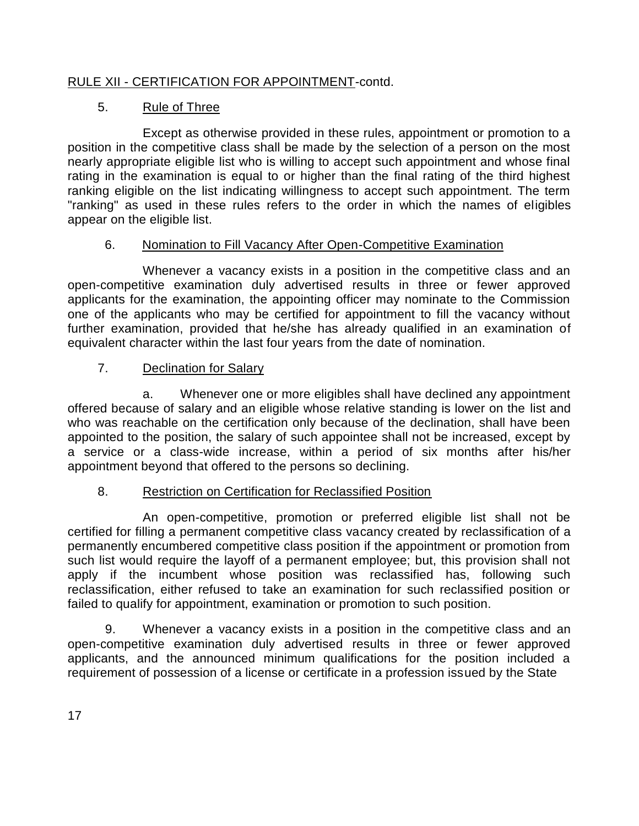# RULE XII - CERTIFICATION FOR APPOINTMENT-contd.

# 5. Rule of Three

Except as otherwise provided in these rules, appointment or promotion to a position in the competitive class shall be made by the selection of a person on the most nearly appropriate eligible list who is willing to accept such appointment and whose final rating in the examination is equal to or higher than the final rating of the third highest ranking eligible on the list indicating willingness to accept such appointment. The term "ranking" as used in these rules refers to the order in which the names of eligibles appear on the eligible list.

# 6. Nomination to Fill Vacancy After Open-Competitive Examination

Whenever a vacancy exists in a position in the competitive class and an open-competitive examination duly advertised results in three or fewer approved applicants for the examination, the appointing officer may nominate to the Commission one of the applicants who may be certified for appointment to fill the vacancy without further examination, provided that he/she has already qualified in an examination of equivalent character within the last four years from the date of nomination.

# 7. Declination for Salary

a. Whenever one or more eligibles shall have declined any appointment offered because of salary and an eligible whose relative standing is lower on the list and who was reachable on the certification only because of the declination, shall have been appointed to the position, the salary of such appointee shall not be increased, except by a service or a class-wide increase, within a period of six months after his/her appointment beyond that offered to the persons so declining.

## 8. Restriction on Certification for Reclassified Position

An open-competitive, promotion or preferred eligible list shall not be certified for filling a permanent competitive class vacancy created by reclassification of a permanently encumbered competitive class position if the appointment or promotion from such list would require the layoff of a permanent employee; but, this provision shall not apply if the incumbent whose position was reclassified has, following such reclassification, either refused to take an examination for such reclassified position or failed to qualify for appointment, examination or promotion to such position.

9. Whenever a vacancy exists in a position in the competitive class and an open-competitive examination duly advertised results in three or fewer approved applicants, and the announced minimum qualifications for the position included a requirement of possession of a license or certificate in a profession issued by the State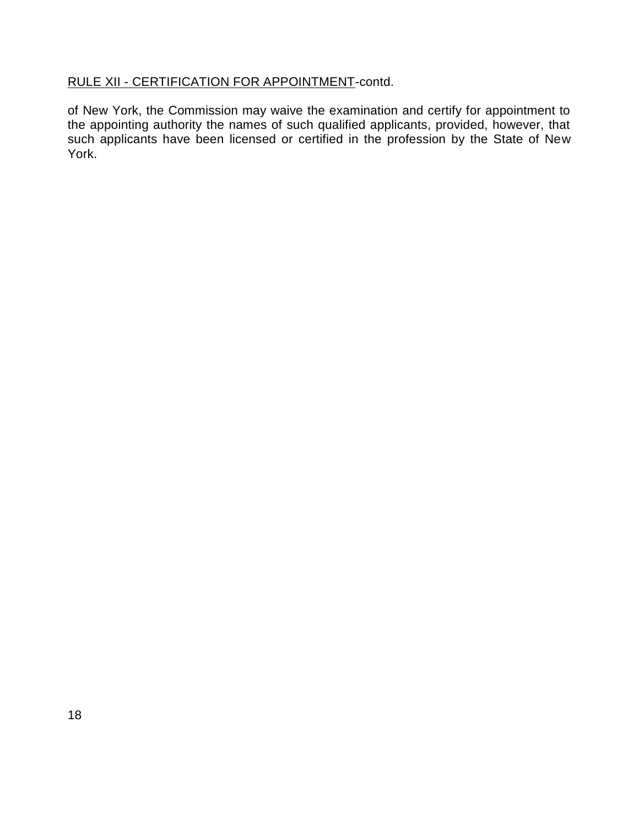## RULE XII - CERTIFICATION FOR APPOINTMENT-contd.

of New York, the Commission may waive the examination and certify for appointment to the appointing authority the names of such qualified applicants, provided, however, that such applicants have been licensed or certified in the profession by the State of New York.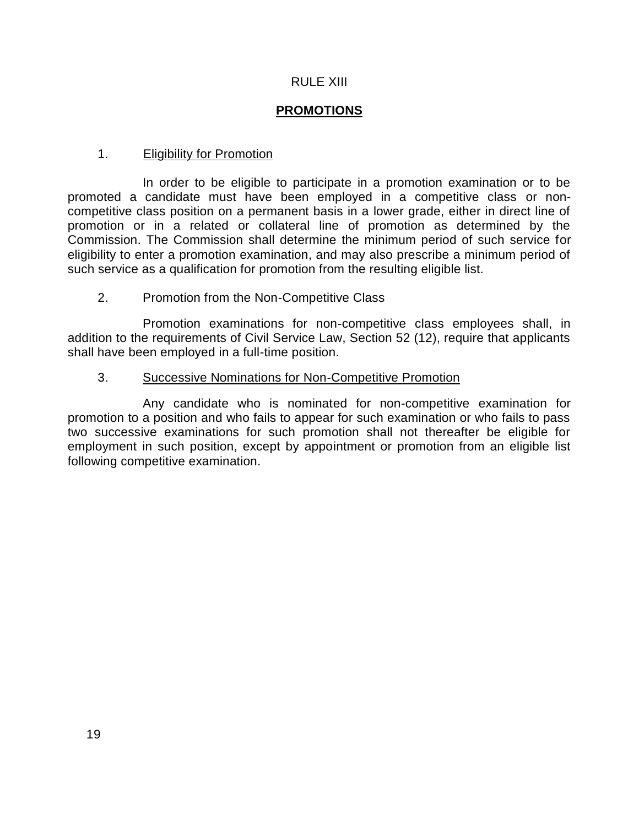#### RULE XIII

## **PROMOTIONS**

#### 1. **Eligibility for Promotion**

In order to be eligible to participate in a promotion examination or to be promoted a candidate must have been employed in a competitive class or noncompetitive class position on a permanent basis in a lower grade, either in direct line of promotion or in a related or collateral line of promotion as determined by the Commission. The Commission shall determine the minimum period of such service for eligibility to enter a promotion examination, and may also prescribe a minimum period of such service as a qualification for promotion from the resulting eligible list.

#### 2. Promotion from the Non-Competitive Class

Promotion examinations for non-competitive class employees shall, in addition to the requirements of Civil Service Law, Section 52 (12), require that applicants shall have been employed in a full-time position.

#### 3. Successive Nominations for Non-Competitive Promotion

Any candidate who is nominated for non-competitive examination for promotion to a position and who fails to appear for such examination or who fails to pass two successive examinations for such promotion shall not thereafter be eligible for employment in such position, except by appointment or promotion from an eligible list following competitive examination.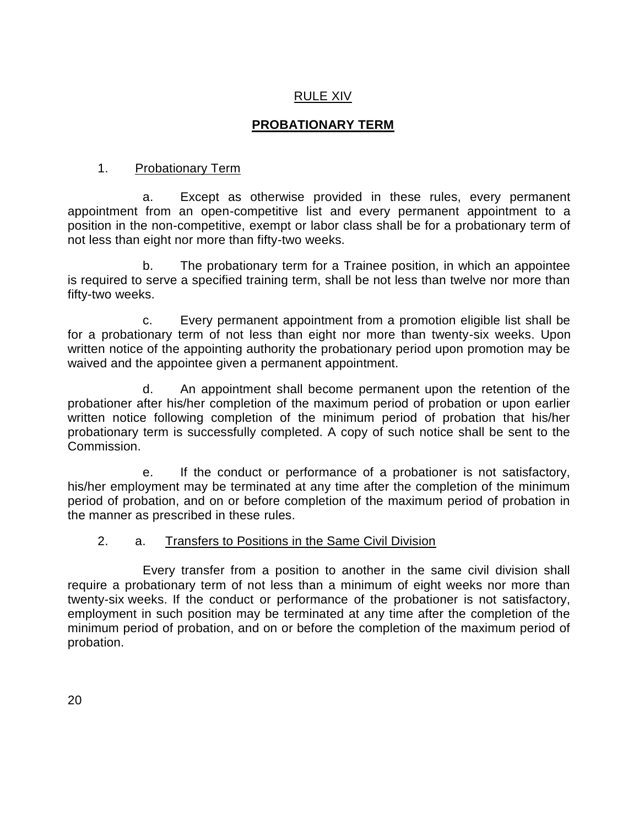# RULE XIV

# **PROBATIONARY TERM**

# 1. Probationary Term

a. Except as otherwise provided in these rules, every permanent appointment from an open-competitive list and every permanent appointment to a position in the non-competitive, exempt or labor class shall be for a probationary term of not less than eight nor more than fifty-two weeks.

b. The probationary term for a Trainee position, in which an appointee is required to serve a specified training term, shall be not less than twelve nor more than fifty-two weeks.

c. Every permanent appointment from a promotion eligible list shall be for a probationary term of not less than eight nor more than twenty-six weeks. Upon written notice of the appointing authority the probationary period upon promotion may be waived and the appointee given a permanent appointment.

d. An appointment shall become permanent upon the retention of the probationer after his/her completion of the maximum period of probation or upon earlier written notice following completion of the minimum period of probation that his/her probationary term is successfully completed. A copy of such notice shall be sent to the Commission.

e. If the conduct or performance of a probationer is not satisfactory, his/her employment may be terminated at any time after the completion of the minimum period of probation, and on or before completion of the maximum period of probation in the manner as prescribed in these rules.

## 2. a. Transfers to Positions in the Same Civil Division

Every transfer from a position to another in the same civil division shall require a probationary term of not less than a minimum of eight weeks nor more than twenty-six weeks. If the conduct or performance of the probationer is not satisfactory, employment in such position may be terminated at any time after the completion of the minimum period of probation, and on or before the completion of the maximum period of probation.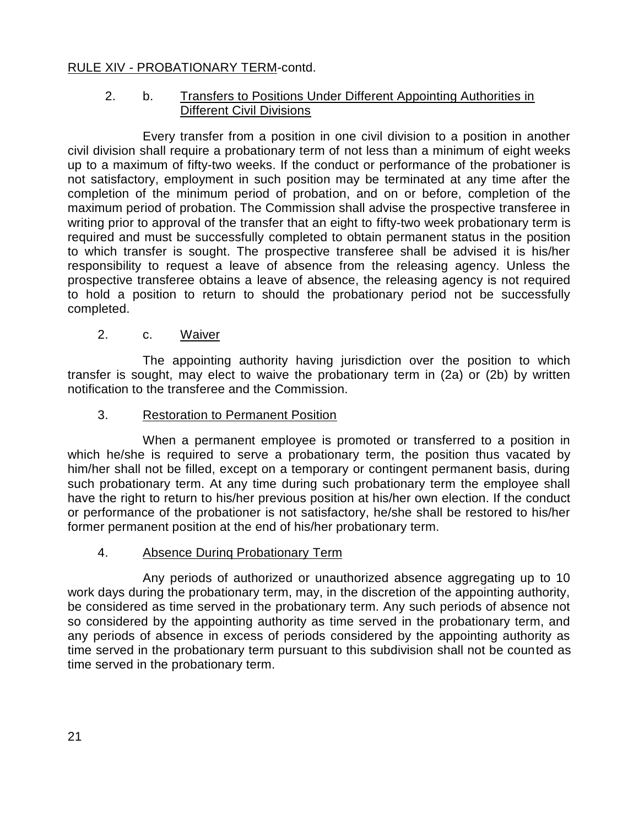## RULE XIV - PROBATIONARY TERM-contd.

#### 2. b. Transfers to Positions Under Different Appointing Authorities in Different Civil Divisions

Every transfer from a position in one civil division to a position in another civil division shall require a probationary term of not less than a minimum of eight weeks up to a maximum of fifty-two weeks. If the conduct or performance of the probationer is not satisfactory, employment in such position may be terminated at any time after the completion of the minimum period of probation, and on or before, completion of the maximum period of probation. The Commission shall advise the prospective transferee in writing prior to approval of the transfer that an eight to fifty-two week probationary term is required and must be successfully completed to obtain permanent status in the position to which transfer is sought. The prospective transferee shall be advised it is his/her responsibility to request a leave of absence from the releasing agency. Unless the prospective transferee obtains a leave of absence, the releasing agency is not required to hold a position to return to should the probationary period not be successfully completed.

#### 2. c. Waiver

The appointing authority having jurisdiction over the position to which transfer is sought, may elect to waive the probationary term in (2a) or (2b) by written notification to the transferee and the Commission.

#### 3. Restoration to Permanent Position

When a permanent employee is promoted or transferred to a position in which he/she is required to serve a probationary term, the position thus vacated by him/her shall not be filled, except on a temporary or contingent permanent basis, during such probationary term. At any time during such probationary term the employee shall have the right to return to his/her previous position at his/her own election. If the conduct or performance of the probationer is not satisfactory, he/she shall be restored to his/her former permanent position at the end of his/her probationary term.

#### 4. Absence Durinq Probationary Term

Any periods of authorized or unauthorized absence aggregating up to 10 work days during the probationary term, may, in the discretion of the appointing authority, be considered as time served in the probationary term. Any such periods of absence not so considered by the appointing authority as time served in the probationary term, and any periods of absence in excess of periods considered by the appointing authority as time served in the probationary term pursuant to this subdivision shall not be counted as time served in the probationary term.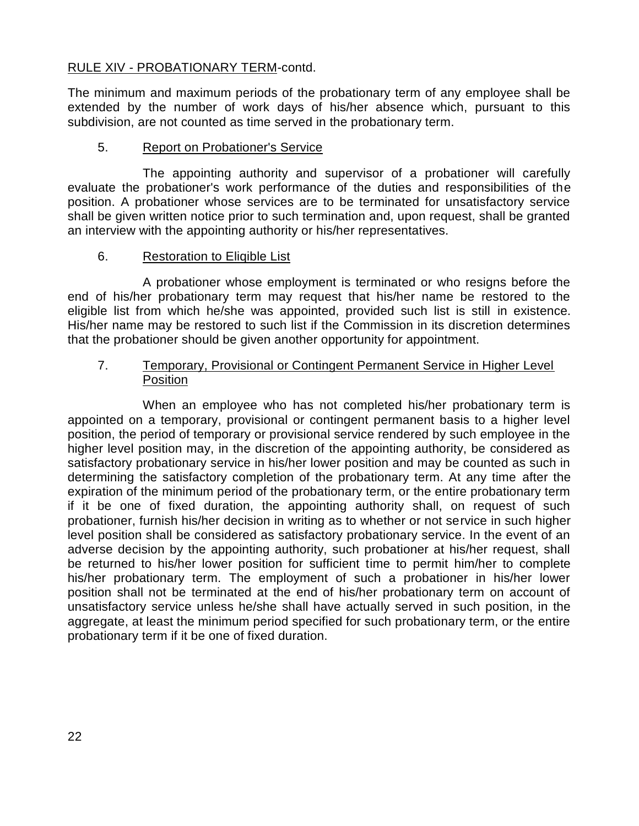#### RULE XIV - PROBATIONARY TERM-contd.

The minimum and maximum periods of the probationary term of any employee shall be extended by the number of work days of his/her absence which, pursuant to this subdivision, are not counted as time served in the probationary term.

#### 5. Report on Probationer's Service

The appointing authority and supervisor of a probationer will carefully evaluate the probationer's work performance of the duties and responsibilities of the position. A probationer whose services are to be terminated for unsatisfactory service shall be given written notice prior to such termination and, upon request, shall be granted an interview with the appointing authority or his/her representatives.

#### 6. Restoration to Eliqible List

A probationer whose employment is terminated or who resigns before the end of his/her probationary term may request that his/her name be restored to the eligible list from which he/she was appointed, provided such list is still in existence. His/her name may be restored to such list if the Commission in its discretion determines that the probationer should be given another opportunity for appointment.

#### 7. Temporary, Provisional or Contingent Permanent Service in Higher Level Position

When an employee who has not completed his/her probationary term is appointed on a temporary, provisional or contingent permanent basis to a higher level position, the period of temporary or provisional service rendered by such employee in the higher level position may, in the discretion of the appointing authority, be considered as satisfactory probationary service in his/her lower position and may be counted as such in determining the satisfactory completion of the probationary term. At any time after the expiration of the minimum period of the probationary term, or the entire probationary term if it be one of fixed duration, the appointing authority shall, on request of such probationer, furnish his/her decision in writing as to whether or not service in such higher level position shall be considered as satisfactory probationary service. In the event of an adverse decision by the appointing authority, such probationer at his/her request, shall be returned to his/her lower position for sufficient time to permit him/her to complete his/her probationary term. The employment of such a probationer in his/her lower position shall not be terminated at the end of his/her probationary term on account of unsatisfactory service unless he/she shall have actually served in such position, in the aggregate, at least the minimum period specified for such probationary term, or the entire probationary term if it be one of fixed duration.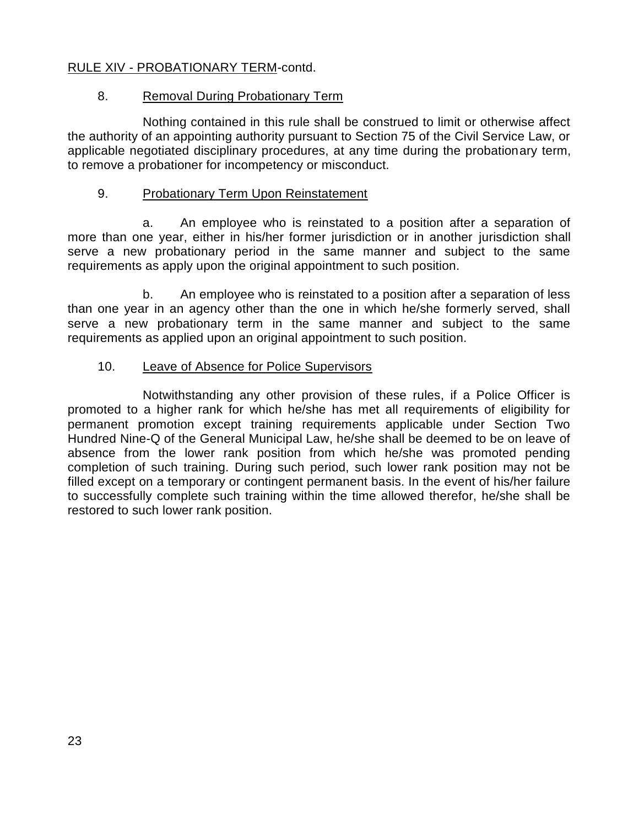## RULE XIV - PROBATIONARY TERM-contd.

#### 8. Removal During Probationary Term

Nothing contained in this rule shall be construed to limit or otherwise affect the authority of an appointing authority pursuant to Section 75 of the Civil Service Law, or applicable negotiated disciplinary procedures, at any time during the probationary term, to remove a probationer for incompetency or misconduct.

#### 9. Probationary Term Upon Reinstatement

a. An employee who is reinstated to a position after a separation of more than one year, either in his/her former jurisdiction or in another jurisdiction shall serve a new probationary period in the same manner and subject to the same requirements as apply upon the original appointment to such position.

b. An employee who is reinstated to a position after a separation of less than one year in an agency other than the one in which he/she formerly served, shall serve a new probationary term in the same manner and subject to the same requirements as applied upon an original appointment to such position.

#### 10. Leave of Absence for Police Supervisors

Notwithstanding any other provision of these rules, if a Police Officer is promoted to a higher rank for which he/she has met all requirements of eligibility for permanent promotion except training requirements applicable under Section Two Hundred Nine-Q of the General Municipal Law, he/she shall be deemed to be on leave of absence from the lower rank position from which he/she was promoted pending completion of such training. During such period, such lower rank position may not be filled except on a temporary or contingent permanent basis. In the event of his/her failure to successfully complete such training within the time allowed therefor, he/she shall be restored to such lower rank position.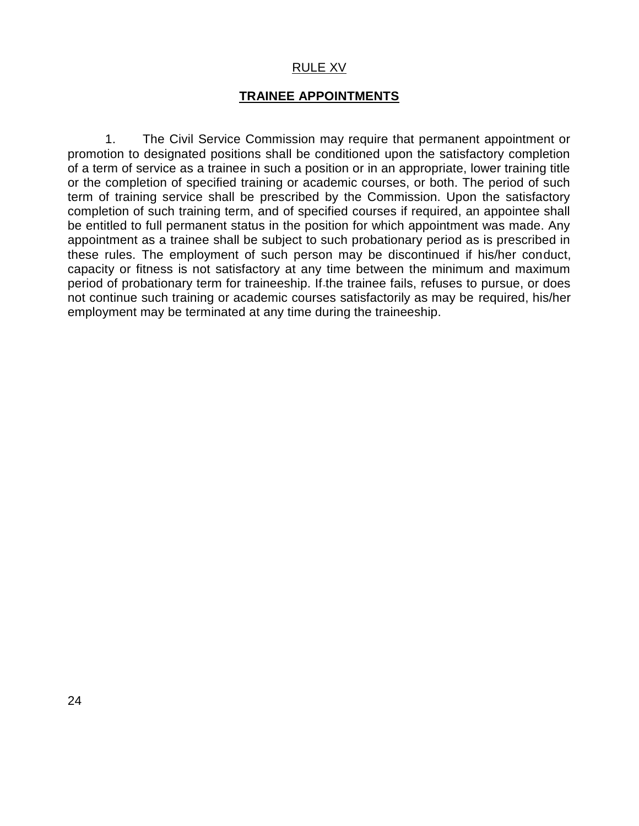#### RULE XV

#### **TRAINEE APPOINTMENTS**

1. The Civil Service Commission may require that permanent appointment or promotion to designated positions shall be conditioned upon the satisfactory completion of a term of service as a trainee in such a position or in an appropriate, lower training title or the completion of specified training or academic courses, or both. The period of such term of training service shall be prescribed by the Commission. Upon the satisfactory completion of such training term, and of specified courses if required, an appointee shall be entitled to full permanent status in the position for which appointment was made. Any appointment as a trainee shall be subject to such probationary period as is prescribed in these rules. The employment of such person may be discontinued if his/her conduct, capacity or fitness is not satisfactory at any time between the minimum and maximum period of probationary term for traineeship. If the trainee fails, refuses to pursue, or does not continue such training or academic courses satisfactorily as may be required, his/her employment may be terminated at any time during the traineeship.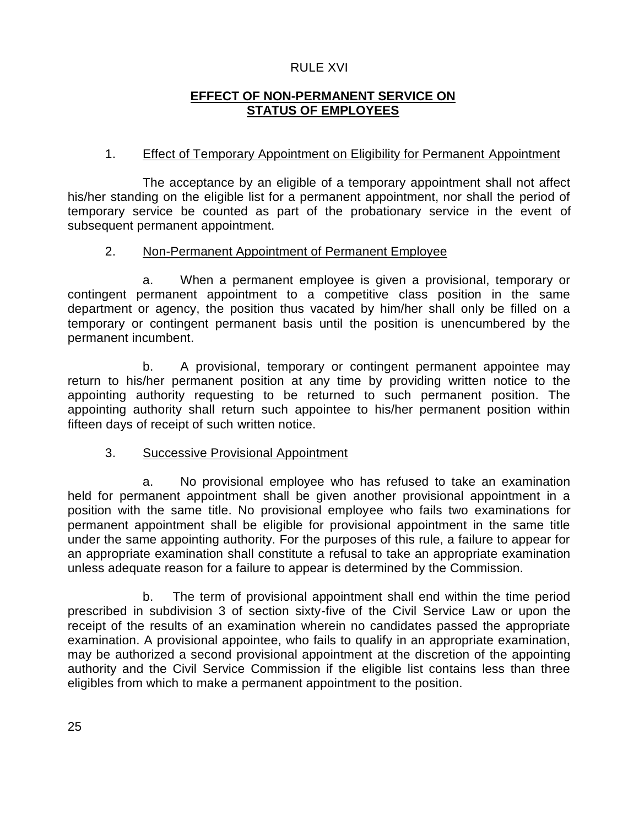#### RULE XVI

## **EFFECT OF NON-PERMANENT SERVICE ON STATUS OF EMPLOYEES**

#### 1. Effect of Temporary Appointment on Eligibility for Permanent Appointment

The acceptance by an eligible of a temporary appointment shall not affect his/her standing on the eligible list for a permanent appointment, nor shall the period of temporary service be counted as part of the probationary service in the event of subsequent permanent appointment.

#### 2. Non-Permanent Appointment of Permanent Employee

a. When a permanent employee is given a provisional, temporary or contingent permanent appointment to a competitive class position in the same department or agency, the position thus vacated by him/her shall only be filled on a temporary or contingent permanent basis until the position is unencumbered by the permanent incumbent.

b. A provisional, temporary or contingent permanent appointee may return to his/her permanent position at any time by providing written notice to the appointing authority requesting to be returned to such permanent position. The appointing authority shall return such appointee to his/her permanent position within fifteen days of receipt of such written notice.

#### 3. Successive Provisional Appointment

a. No provisional employee who has refused to take an examination held for permanent appointment shall be given another provisional appointment in a position with the same title. No provisional employee who fails two examinations for permanent appointment shall be eligible for provisional appointment in the same title under the same appointing authority. For the purposes of this rule, a failure to appear for an appropriate examination shall constitute a refusal to take an appropriate examination unless adequate reason for a failure to appear is determined by the Commission.

b. The term of provisional appointment shall end within the time period prescribed in subdivision 3 of section sixty-five of the Civil Service Law or upon the receipt of the results of an examination wherein no candidates passed the appropriate examination. A provisional appointee, who fails to qualify in an appropriate examination, may be authorized a second provisional appointment at the discretion of the appointing authority and the Civil Service Commission if the eligible list contains less than three eligibles from which to make a permanent appointment to the position.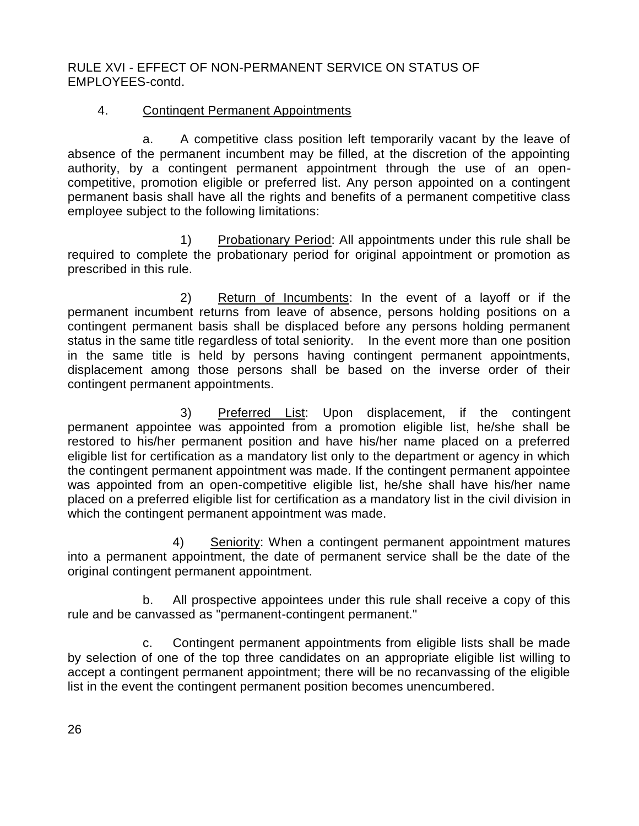RULE XVI - EFFECT OF NON-PERMANENT SERVICE ON STATUS OF EMPLOYEES-contd.

## 4. Continqent Permanent Appointments

a. A competitive class position left temporarily vacant by the leave of absence of the permanent incumbent may be filled, at the discretion of the appointing authority, by a contingent permanent appointment through the use of an opencompetitive, promotion eligible or preferred list. Any person appointed on a contingent permanent basis shall have all the rights and benefits of a permanent competitive class employee subject to the following limitations:

1) Probationary Period: All appointments under this rule shall be required to complete the probationary period for original appointment or promotion as prescribed in this rule.

2) Return of Incumbents: In the event of a layoff or if the permanent incumbent returns from leave of absence, persons holding positions on a contingent permanent basis shall be displaced before any persons holding permanent status in the same title regardless of total seniority. In the event more than one position in the same title is held by persons having contingent permanent appointments, displacement among those persons shall be based on the inverse order of their contingent permanent appointments.

3) Preferred List: Upon displacement, if the contingent permanent appointee was appointed from a promotion eligible list, he/she shall be restored to his/her permanent position and have his/her name placed on a preferred eligible list for certification as a mandatory list only to the department or agency in which the contingent permanent appointment was made. If the contingent permanent appointee was appointed from an open-competitive eligible list, he/she shall have his/her name placed on a preferred eligible list for certification as a mandatory list in the civil division in which the contingent permanent appointment was made.

4) Seniority: When a contingent permanent appointment matures into a permanent appointment, the date of permanent service shall be the date of the original contingent permanent appointment.

b. All prospective appointees under this rule shall receive a copy of this rule and be canvassed as "permanent-contingent permanent."

c. Contingent permanent appointments from eligible lists shall be made by selection of one of the top three candidates on an appropriate eligible list willing to accept a contingent permanent appointment; there will be no recanvassing of the eligible list in the event the contingent permanent position becomes unencumbered.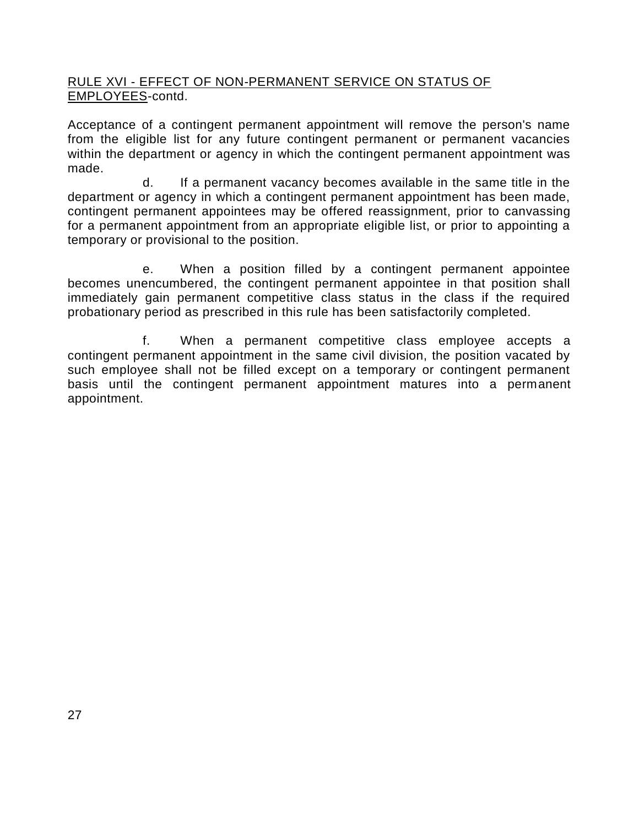## RULE XVI - EFFECT OF NON-PERMANENT SERVICE ON STATUS OF EMPLOYEES-contd.

Acceptance of a contingent permanent appointment will remove the person's name from the eligible list for any future contingent permanent or permanent vacancies within the department or agency in which the contingent permanent appointment was made.

d. If a permanent vacancy becomes available in the same title in the department or agency in which a contingent permanent appointment has been made, contingent permanent appointees may be offered reassignment, prior to canvassing for a permanent appointment from an appropriate eligible list, or prior to appointing a temporary or provisional to the position.

e. When a position filled by a contingent permanent appointee becomes unencumbered, the contingent permanent appointee in that position shall immediately gain permanent competitive class status in the class if the required probationary period as prescribed in this rule has been satisfactorily completed.

f. When a permanent competitive class employee accepts a contingent permanent appointment in the same civil division, the position vacated by such employee shall not be filled except on a temporary or contingent permanent basis until the contingent permanent appointment matures into a permanent appointment.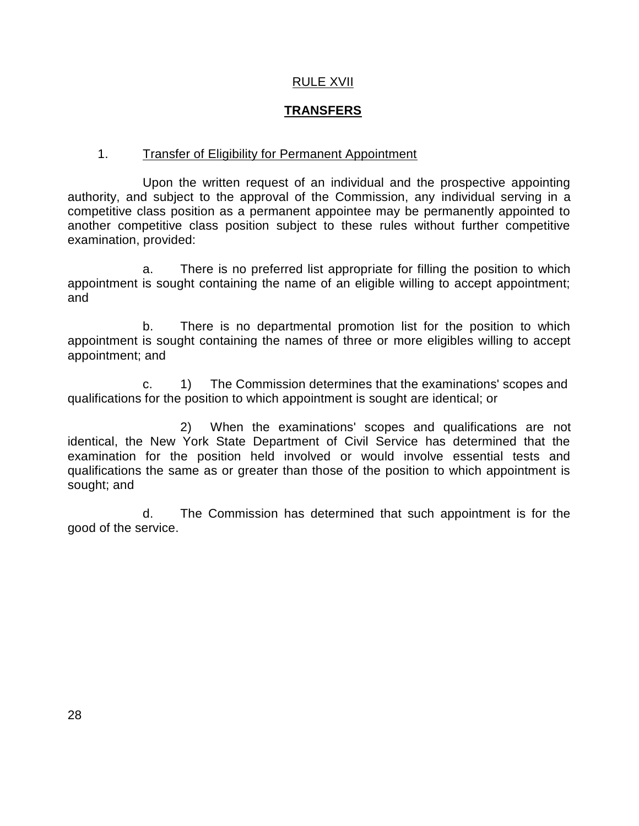#### RULE XVII

## **TRANSFERS**

#### 1. Transfer of Eligibility for Permanent Appointment

Upon the written request of an individual and the prospective appointing authority, and subject to the approval of the Commission, any individual serving in a competitive class position as a permanent appointee may be permanently appointed to another competitive class position subject to these rules without further competitive examination, provided:

a. There is no preferred list appropriate for filling the position to which appointment is sought containing the name of an eligible willing to accept appointment; and

b. There is no departmental promotion list for the position to which appointment is sought containing the names of three or more eligibles willing to accept appointment; and

c. 1) The Commission determines that the examinations' scopes and qualifications for the position to which appointment is sought are identical; or

2) When the examinations' scopes and qualifications are not identical, the New York State Department of Civil Service has determined that the examination for the position held involved or would involve essential tests and qualifications the same as or greater than those of the position to which appointment is sought; and

d. The Commission has determined that such appointment is for the good of the service.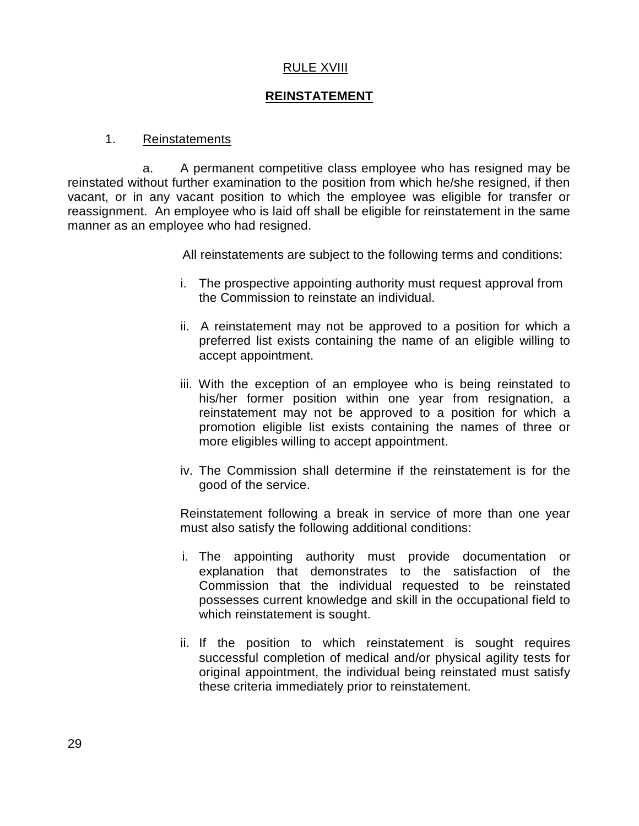#### RULE XVIII

#### **REINSTATEMENT**

#### 1. Reinstatements

a. A permanent competitive class employee who has resigned may be reinstated without further examination to the position from which he/she resigned, if then vacant, or in any vacant position to which the employee was eligible for transfer or reassignment. An employee who is laid off shall be eligible for reinstatement in the same manner as an employee who had resigned.

All reinstatements are subject to the following terms and conditions:

- i. The prospective appointing authority must request approval from the Commission to reinstate an individual.
- ii. A reinstatement may not be approved to a position for which a preferred list exists containing the name of an eligible willing to accept appointment.
- iii. With the exception of an employee who is being reinstated to his/her former position within one year from resignation, a reinstatement may not be approved to a position for which a promotion eligible list exists containing the names of three or more eligibles willing to accept appointment.
- iv. The Commission shall determine if the reinstatement is for the good of the service.

Reinstatement following a break in service of more than one year must also satisfy the following additional conditions:

- i. The appointing authority must provide documentation or explanation that demonstrates to the satisfaction of the Commission that the individual requested to be reinstated possesses current knowledge and skill in the occupational field to which reinstatement is sought.
- ii. If the position to which reinstatement is sought requires successful completion of medical and/or physical agility tests for original appointment, the individual being reinstated must satisfy these criteria immediately prior to reinstatement.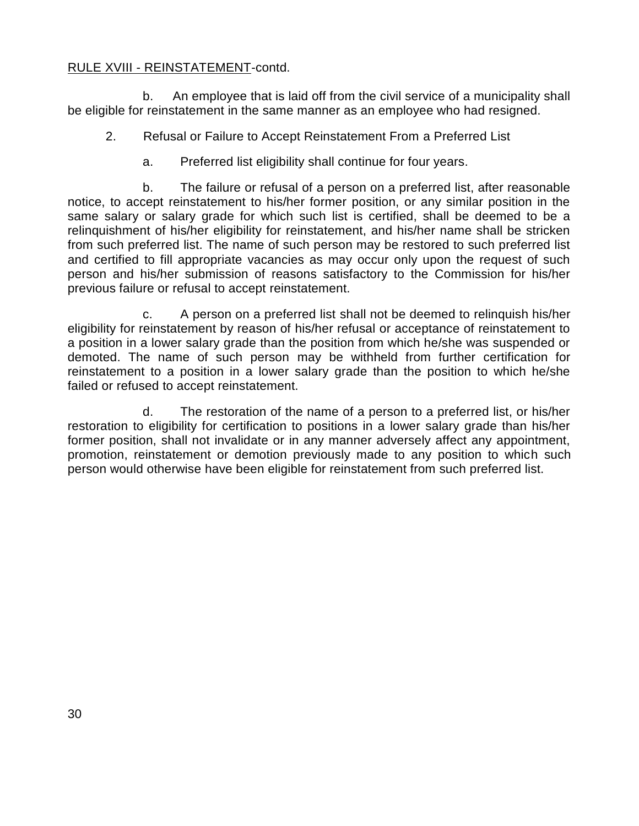#### RULE XVIII - REINSTATEMENT-contd.

b. An employee that is laid off from the civil service of a municipality shall be eligible for reinstatement in the same manner as an employee who had resigned.

- 2. Refusal or Failure to Accept Reinstatement From a Preferred List
	- a. Preferred list eligibility shall continue for four years.

b. The failure or refusal of a person on a preferred list, after reasonable notice, to accept reinstatement to his/her former position, or any similar position in the same salary or salary grade for which such list is certified, shall be deemed to be a relinquishment of his/her eligibility for reinstatement, and his/her name shall be stricken from such preferred list. The name of such person may be restored to such preferred list and certified to fill appropriate vacancies as may occur only upon the request of such person and his/her submission of reasons satisfactory to the Commission for his/her previous failure or refusal to accept reinstatement.

c. A person on a preferred list shall not be deemed to relinquish his/her eligibility for reinstatement by reason of his/her refusal or acceptance of reinstatement to a position in a lower salary grade than the position from which he/she was suspended or demoted. The name of such person may be withheld from further certification for reinstatement to a position in a lower salary grade than the position to which he/she failed or refused to accept reinstatement.

d. The restoration of the name of a person to a preferred list, or his/her restoration to eligibility for certification to positions in a lower salary grade than his/her former position, shall not invalidate or in any manner adversely affect any appointment, promotion, reinstatement or demotion previously made to any position to which such person would otherwise have been eligible for reinstatement from such preferred list.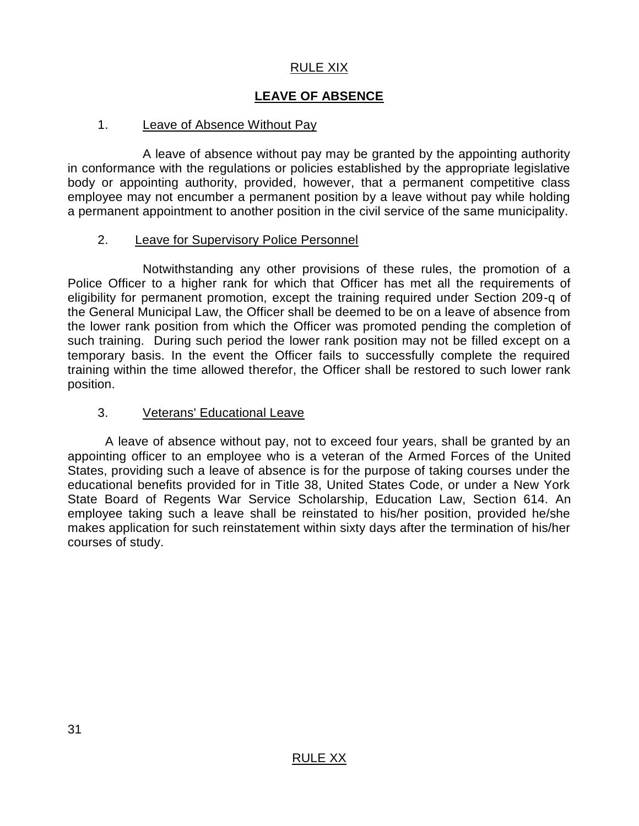## RULE XIX

# **LEAVE OF ABSENCE**

### 1. Leave of Absence Without Pay

A leave of absence without pay may be granted by the appointing authority in conformance with the regulations or policies established by the appropriate legislative body or appointing authority, provided, however, that a permanent competitive class employee may not encumber a permanent position by a leave without pay while holding a permanent appointment to another position in the civil service of the same municipality.

#### 2. Leave for Supervisory Police Personnel

Notwithstanding any other provisions of these rules, the promotion of a Police Officer to a higher rank for which that Officer has met all the requirements of eligibility for permanent promotion, except the training required under Section 209-q of the General Municipal Law, the Officer shall be deemed to be on a leave of absence from the lower rank position from which the Officer was promoted pending the completion of such training. During such period the lower rank position may not be filled except on a temporary basis. In the event the Officer fails to successfully complete the required training within the time allowed therefor, the Officer shall be restored to such lower rank position.

#### 3. Veterans' Educational Leave

A leave of absence without pay, not to exceed four years, shall be granted by an appointing officer to an employee who is a veteran of the Armed Forces of the United States, providing such a leave of absence is for the purpose of taking courses under the educational benefits provided for in Title 38, United States Code, or under a New York State Board of Regents War Service Scholarship, Education Law, Section 614. An employee taking such a leave shall be reinstated to his/her position, provided he/she makes application for such reinstatement within sixty days after the termination of his/her courses of study.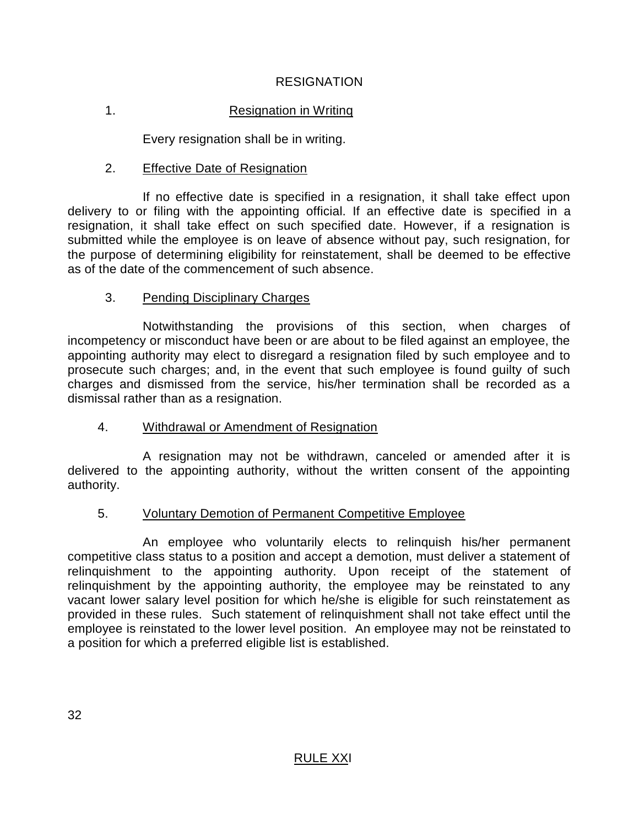## **RESIGNATION**

# 1. Resignation in Writinq

Every resignation shall be in writing.

#### 2. Effective Date of Resignation

If no effective date is specified in a resignation, it shall take effect upon delivery to or filing with the appointing official. If an effective date is specified in a resignation, it shall take effect on such specified date. However, if a resignation is submitted while the employee is on leave of absence without pay, such resignation, for the purpose of determining eligibility for reinstatement, shall be deemed to be effective as of the date of the commencement of such absence.

#### 3. Pending Disciplinary Charges

Notwithstanding the provisions of this section, when charges of incompetency or misconduct have been or are about to be filed against an employee, the appointing authority may elect to disregard a resignation filed by such employee and to prosecute such charges; and, in the event that such employee is found guilty of such charges and dismissed from the service, his/her termination shall be recorded as a dismissal rather than as a resignation.

## 4. Withdrawal or Amendment of Resignation

A resignation may not be withdrawn, canceled or amended after it is delivered to the appointing authority, without the written consent of the appointing authority.

## 5. Voluntary Demotion of Permanent Competitive Employee

An employee who voluntarily elects to relinquish his/her permanent competitive class status to a position and accept a demotion, must deliver a statement of relinquishment to the appointing authority. Upon receipt of the statement of relinquishment by the appointing authority, the employee may be reinstated to any vacant lower salary level position for which he/she is eligible for such reinstatement as provided in these rules. Such statement of relinquishment shall not take effect until the employee is reinstated to the lower level position. An employee may not be reinstated to a position for which a preferred eligible list is established.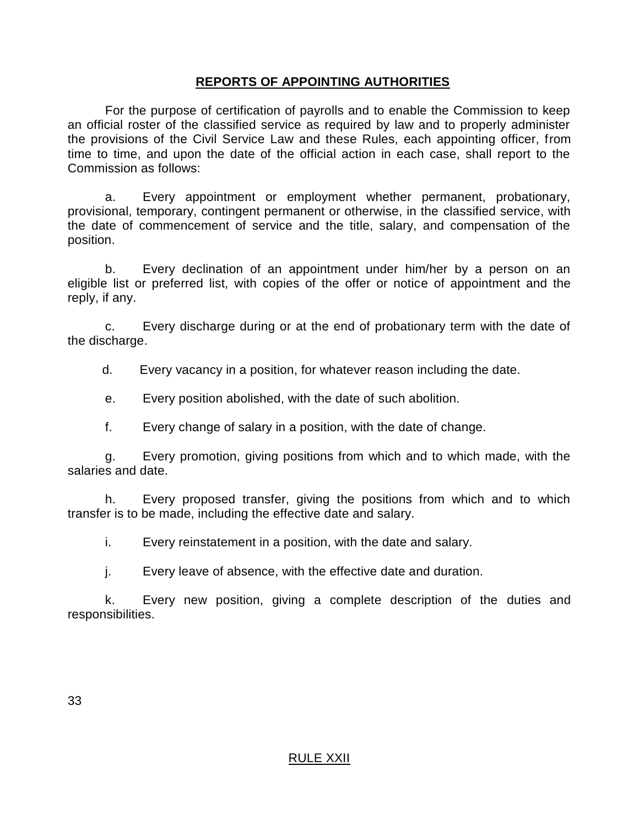### **REPORTS OF APPOINTING AUTHORITIES**

For the purpose of certification of payrolls and to enable the Commission to keep an official roster of the classified service as required by law and to properly administer the provisions of the Civil Service Law and these Rules, each appointing officer, from time to time, and upon the date of the official action in each case, shall report to the Commission as follows:

a. Every appointment or employment whether permanent, probationary, provisional, temporary, contingent permanent or otherwise, in the classified service, with the date of commencement of service and the title, salary, and compensation of the position.

b. Every declination of an appointment under him/her by a person on an eligible list or preferred list, with copies of the offer or notice of appointment and the reply, if any.

c. Every discharge during or at the end of probationary term with the date of the discharge.

d. Every vacancy in a position, for whatever reason including the date.

e. Every position abolished, with the date of such abolition.

f. Every change of salary in a position, with the date of change.

g. Every promotion, giving positions from which and to which made, with the salaries and date.

h. Every proposed transfer, giving the positions from which and to which transfer is to be made, including the effective date and salary.

i. Every reinstatement in a position, with the date and salary.

j. Every leave of absence, with the effective date and duration.

k. Every new position, giving a complete description of the duties and responsibilities.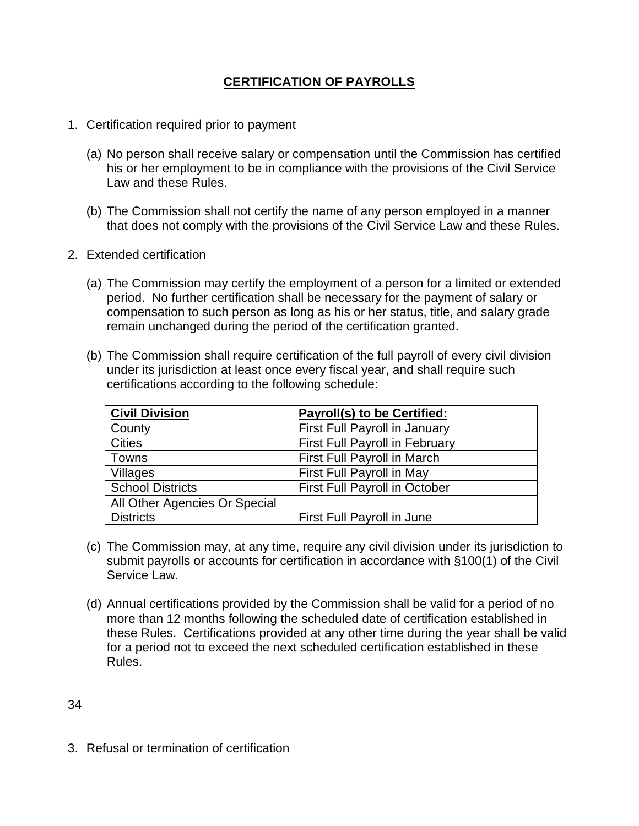# **CERTIFICATION OF PAYROLLS**

- 1. Certification required prior to payment
	- (a) No person shall receive salary or compensation until the Commission has certified his or her employment to be in compliance with the provisions of the Civil Service Law and these Rules.
	- (b) The Commission shall not certify the name of any person employed in a manner that does not comply with the provisions of the Civil Service Law and these Rules.
- 2. Extended certification
	- (a) The Commission may certify the employment of a person for a limited or extended period. No further certification shall be necessary for the payment of salary or compensation to such person as long as his or her status, title, and salary grade remain unchanged during the period of the certification granted.
	- (b) The Commission shall require certification of the full payroll of every civil division under its jurisdiction at least once every fiscal year, and shall require such certifications according to the following schedule:

| <b>Civil Division</b>         | <b>Payroll(s) to be Certified:</b>    |
|-------------------------------|---------------------------------------|
| County                        | First Full Payroll in January         |
| <b>Cities</b>                 | <b>First Full Payroll in February</b> |
| Towns                         | First Full Payroll in March           |
| <b>Villages</b>               | First Full Payroll in May             |
| <b>School Districts</b>       | <b>First Full Payroll in October</b>  |
| All Other Agencies Or Special |                                       |
| <b>Districts</b>              | First Full Payroll in June            |

- (c) The Commission may, at any time, require any civil division under its jurisdiction to submit payrolls or accounts for certification in accordance with §100(1) of the Civil Service Law.
- (d) Annual certifications provided by the Commission shall be valid for a period of no more than 12 months following the scheduled date of certification established in these Rules. Certifications provided at any other time during the year shall be valid for a period not to exceed the next scheduled certification established in these Rules.

34

3. Refusal or termination of certification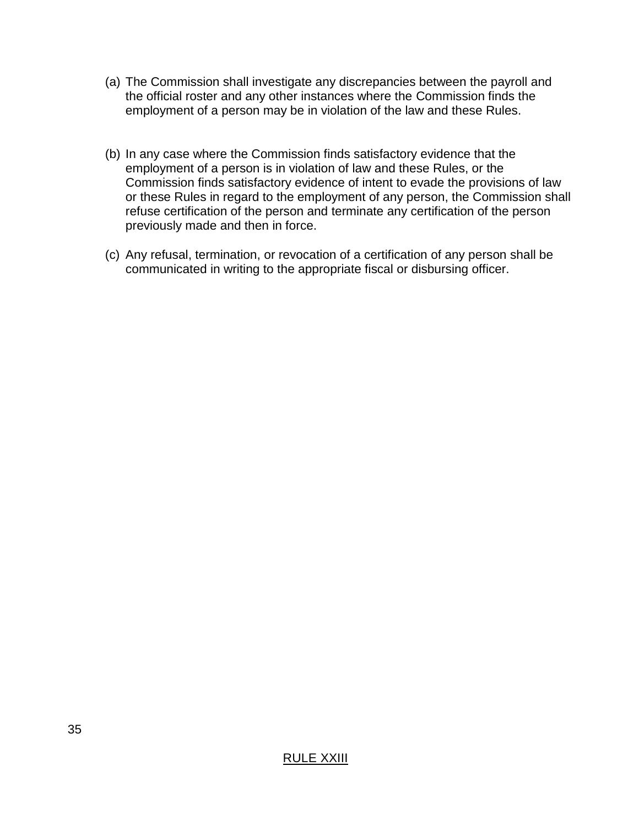- (a) The Commission shall investigate any discrepancies between the payroll and the official roster and any other instances where the Commission finds the employment of a person may be in violation of the law and these Rules.
- (b) In any case where the Commission finds satisfactory evidence that the employment of a person is in violation of law and these Rules, or the Commission finds satisfactory evidence of intent to evade the provisions of law or these Rules in regard to the employment of any person, the Commission shall refuse certification of the person and terminate any certification of the person previously made and then in force.
- (c) Any refusal, termination, or revocation of a certification of any person shall be communicated in writing to the appropriate fiscal or disbursing officer.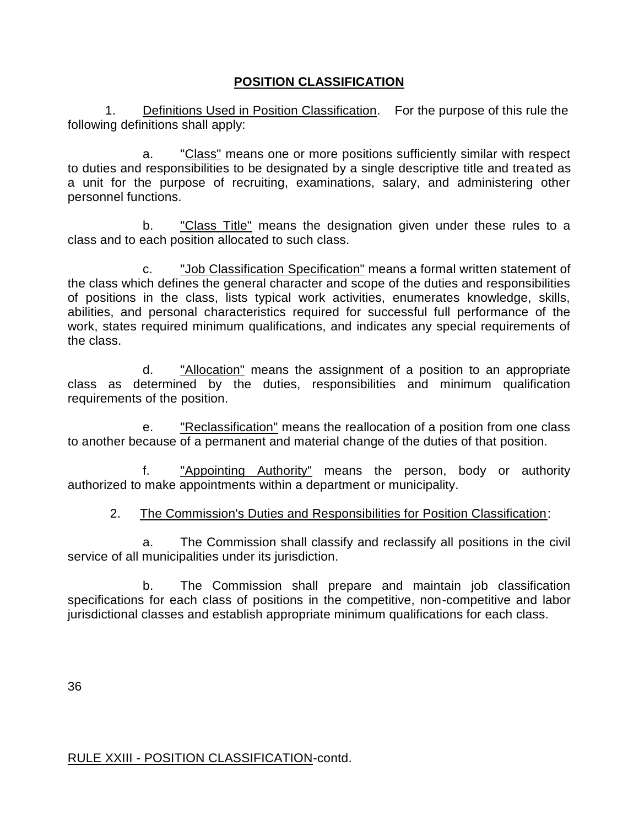# **POSITION CLASSIFICATION**

1. Definitions Used in Position Classification. For the purpose of this rule the following definitions shall apply:

a. "Class" means one or more positions sufficiently similar with respect to duties and responsibilities to be designated by a single descriptive title and treated as a unit for the purpose of recruiting, examinations, salary, and administering other personnel functions.

b. "Class Title" means the designation given under these rules to a class and to each position allocated to such class.

c. "Job Classification Specification" means a formal written statement of the class which defines the general character and scope of the duties and responsibilities of positions in the class, lists typical work activities, enumerates knowledge, skills, abilities, and personal characteristics required for successful full performance of the work, states required minimum qualifications, and indicates any special requirements of the class.

d. "Allocation" means the assignment of a position to an appropriate class as determined by the duties, responsibilities and minimum qualification requirements of the position.

e. "Reclassification" means the reallocation of a position from one class to another because of a permanent and material change of the duties of that position.

f. "Appointing Authority" means the person, body or authority authorized to make appointments within a department or municipality.

## 2. The Commission's Duties and Responsibilities for Position Classification:

a. The Commission shall classify and reclassify all positions in the civil service of all municipalities under its jurisdiction.

b. The Commission shall prepare and maintain job classification specifications for each class of positions in the competitive, non-competitive and labor jurisdictional classes and establish appropriate minimum qualifications for each class.

36

#### RULE XXIII - POSITION CLASSIFICATION-contd.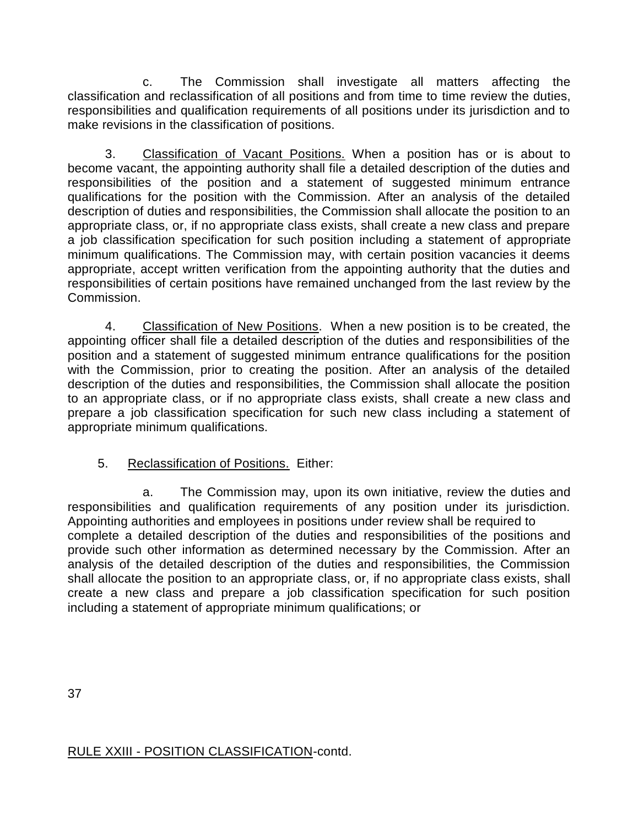c. The Commission shall investigate all matters affecting the classification and reclassification of all positions and from time to time review the duties, responsibilities and qualification requirements of all positions under its jurisdiction and to make revisions in the classification of positions.

3. Classification of Vacant Positions. When a position has or is about to become vacant, the appointing authority shall file a detailed description of the duties and responsibilities of the position and a statement of suggested minimum entrance qualifications for the position with the Commission. After an analysis of the detailed description of duties and responsibilities, the Commission shall allocate the position to an appropriate class, or, if no appropriate class exists, shall create a new class and prepare a job classification specification for such position including a statement of appropriate minimum qualifications. The Commission may, with certain position vacancies it deems appropriate, accept written verification from the appointing authority that the duties and responsibilities of certain positions have remained unchanged from the last review by the Commission.

4. Classification of New Positions. When a new position is to be created, the appointing officer shall file a detailed description of the duties and responsibilities of the position and a statement of suggested minimum entrance qualifications for the position with the Commission, prior to creating the position. After an analysis of the detailed description of the duties and responsibilities, the Commission shall allocate the position to an appropriate class, or if no appropriate class exists, shall create a new class and prepare a job classification specification for such new class including a statement of appropriate minimum qualifications.

# 5. Reclassification of Positions. Either:

a. The Commission may, upon its own initiative, review the duties and responsibilities and qualification requirements of any position under its jurisdiction. Appointing authorities and employees in positions under review shall be required to complete a detailed description of the duties and responsibilities of the positions and provide such other information as determined necessary by the Commission. After an analysis of the detailed description of the duties and responsibilities, the Commission shall allocate the position to an appropriate class, or, if no appropriate class exists, shall create a new class and prepare a job classification specification for such position including a statement of appropriate minimum qualifications; or

37

RULE XXIII - POSITION CLASSIFICATION-contd.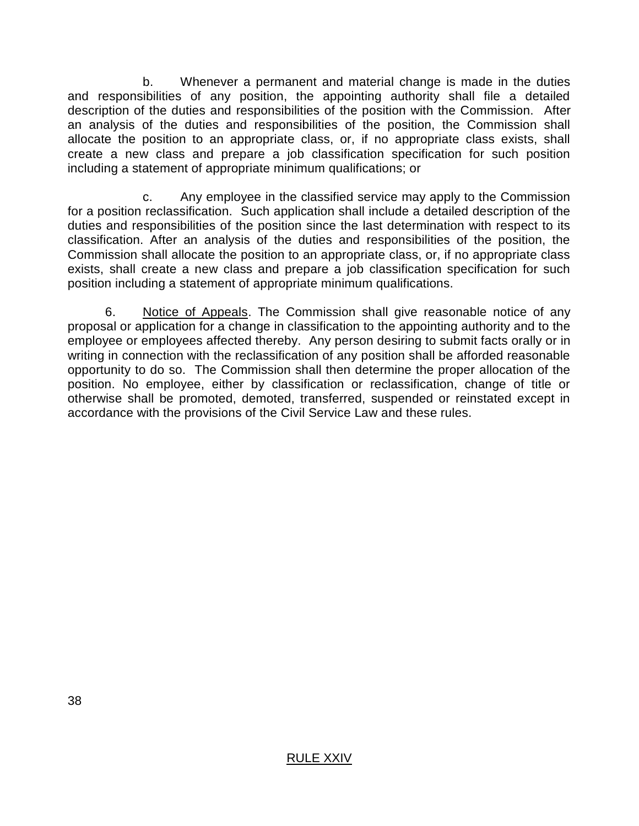b. Whenever a permanent and material change is made in the duties and responsibilities of any position, the appointing authority shall file a detailed description of the duties and responsibilities of the position with the Commission. After an analysis of the duties and responsibilities of the position, the Commission shall allocate the position to an appropriate class, or, if no appropriate class exists, shall create a new class and prepare a job classification specification for such position including a statement of appropriate minimum qualifications; or

c. Any employee in the classified service may apply to the Commission for a position reclassification. Such application shall include a detailed description of the duties and responsibilities of the position since the last determination with respect to its classification. After an analysis of the duties and responsibilities of the position, the Commission shall allocate the position to an appropriate class, or, if no appropriate class exists, shall create a new class and prepare a job classification specification for such position including a statement of appropriate minimum qualifications.

6. Notice of Appeals. The Commission shall give reasonable notice of any proposal or application for a change in classification to the appointing authority and to the employee or employees affected thereby. Any person desiring to submit facts orally or in writing in connection with the reclassification of any position shall be afforded reasonable opportunity to do so. The Commission shall then determine the proper allocation of the position. No employee, either by classification or reclassification, change of title or otherwise shall be promoted, demoted, transferred, suspended or reinstated except in accordance with the provisions of the Civil Service Law and these rules.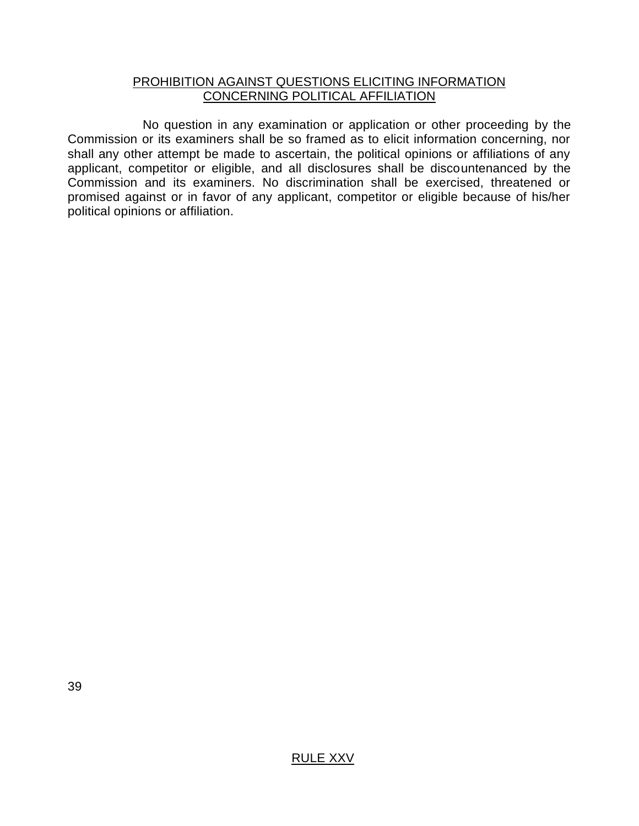#### PROHIBITION AGAINST QUESTIONS ELICITING INFORMATION CONCERNING POLITICAL AFFILIATION

No question in any examination or application or other proceeding by the Commission or its examiners shall be so framed as to elicit information concerning, nor shall any other attempt be made to ascertain, the political opinions or affiliations of any applicant, competitor or eligible, and all disclosures shall be discountenanced by the Commission and its examiners. No discrimination shall be exercised, threatened or promised against or in favor of any applicant, competitor or eligible because of his/her political opinions or affiliation.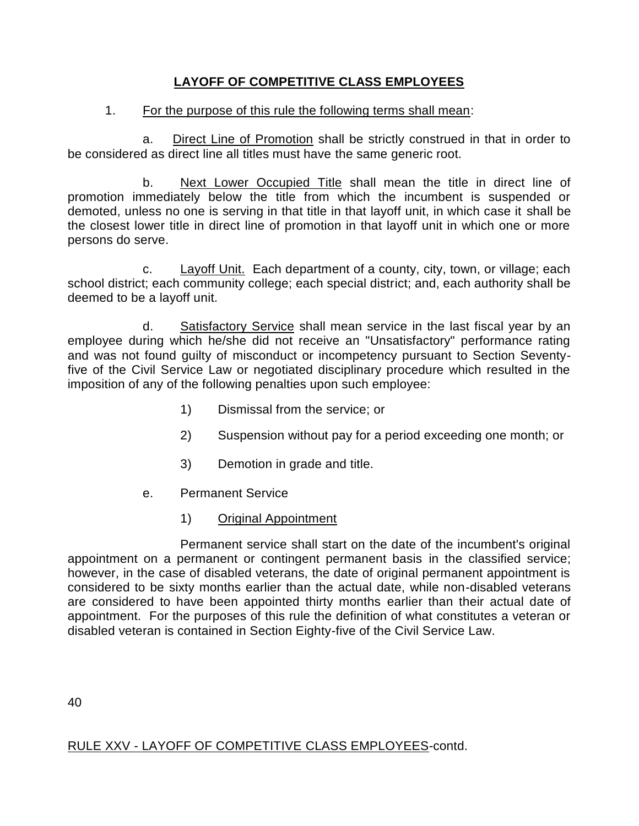# **LAYOFF OF COMPETITIVE CLASS EMPLOYEES**

### 1. For the purpose of this rule the following terms shall mean:

a. Direct Line of Promotion shall be strictly construed in that in order to be considered as direct line all titles must have the same generic root.

b. Next Lower Occupied Title shall mean the title in direct line of promotion immediately below the title from which the incumbent is suspended or demoted, unless no one is serving in that title in that layoff unit, in which case it shall be the closest lower title in direct line of promotion in that layoff unit in which one or more persons do serve.

c. Layoff Unit. Each department of a county, city, town, or village; each school district; each community college; each special district; and, each authority shall be deemed to be a layoff unit.

d. Satisfactory Service shall mean service in the last fiscal year by an employee during which he/she did not receive an "Unsatisfactory" performance rating and was not found guilty of misconduct or incompetency pursuant to Section Seventyfive of the Civil Service Law or negotiated disciplinary procedure which resulted in the imposition of any of the following penalties upon such employee:

- 1) Dismissal from the service; or
- 2) Suspension without pay for a period exceeding one month; or
- 3) Demotion in grade and title.
- e. Permanent Service
	- 1) Original Appointment

Permanent service shall start on the date of the incumbent's original appointment on a permanent or contingent permanent basis in the classified service; however, in the case of disabled veterans, the date of original permanent appointment is considered to be sixty months earlier than the actual date, while non-disabled veterans are considered to have been appointed thirty months earlier than their actual date of appointment. For the purposes of this rule the definition of what constitutes a veteran or disabled veteran is contained in Section Eighty-five of the Civil Service Law.

40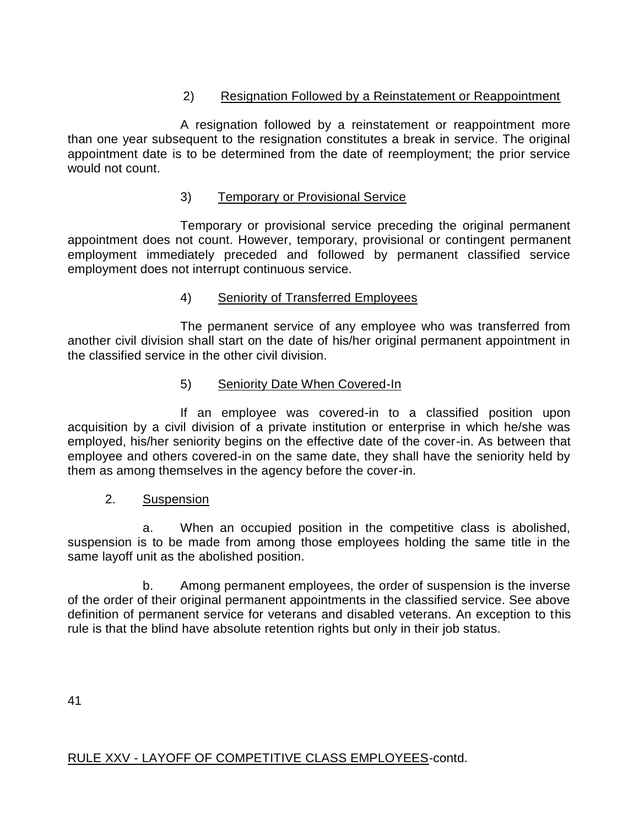# 2) Resignation Followed by a Reinstatement or Reappointment

A resignation followed by a reinstatement or reappointment more than one year subsequent to the resignation constitutes a break in service. The original appointment date is to be determined from the date of reemployment; the prior service would not count.

# 3) Temporary or Provisional Service

Temporary or provisional service preceding the original permanent appointment does not count. However, temporary, provisional or contingent permanent employment immediately preceded and followed by permanent classified service employment does not interrupt continuous service.

# 4) Seniority of Transferred Employees

The permanent service of any employee who was transferred from another civil division shall start on the date of his/her original permanent appointment in the classified service in the other civil division.

## 5) Seniority Date When Covered-In

If an employee was covered-in to a classified position upon acquisition by a civil division of a private institution or enterprise in which he/she was employed, his/her seniority begins on the effective date of the cover-in. As between that employee and others covered-in on the same date, they shall have the seniority held by them as among themselves in the agency before the cover-in.

## 2. Suspension

a. When an occupied position in the competitive class is abolished, suspension is to be made from among those employees holding the same title in the same layoff unit as the abolished position.

b. Among permanent employees, the order of suspension is the inverse of the order of their original permanent appointments in the classified service. See above definition of permanent service for veterans and disabled veterans. An exception to this rule is that the blind have absolute retention rights but only in their job status.

41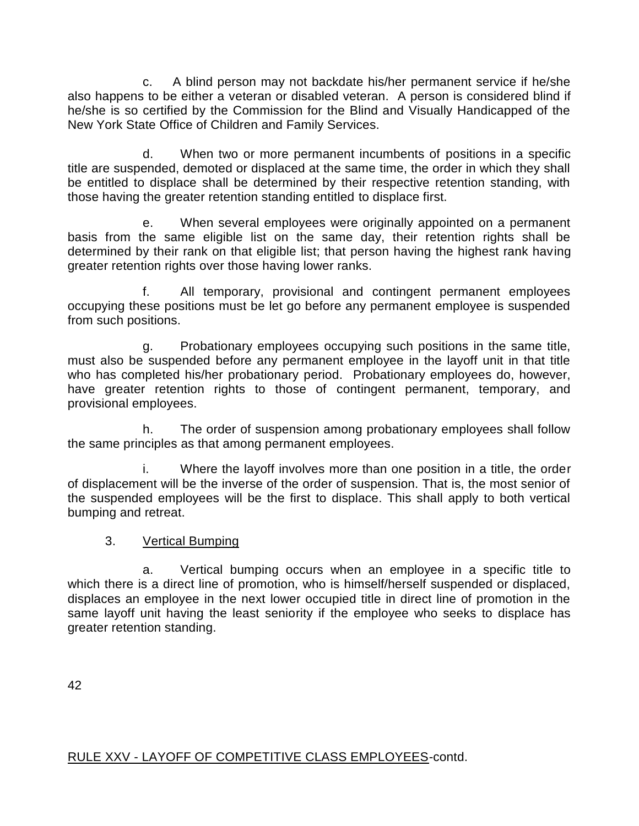c. A blind person may not backdate his/her permanent service if he/she also happens to be either a veteran or disabled veteran. A person is considered blind if he/she is so certified by the Commission for the Blind and Visually Handicapped of the New York State Office of Children and Family Services.

d. When two or more permanent incumbents of positions in a specific title are suspended, demoted or displaced at the same time, the order in which they shall be entitled to displace shall be determined by their respective retention standing, with those having the greater retention standing entitled to displace first.

e. When several employees were originally appointed on a permanent basis from the same eligible list on the same day, their retention rights shall be determined by their rank on that eligible list; that person having the highest rank having greater retention rights over those having lower ranks.

f. All temporary, provisional and contingent permanent employees occupying these positions must be let go before any permanent employee is suspended from such positions.

g. Probationary employees occupying such positions in the same title, must also be suspended before any permanent employee in the layoff unit in that title who has completed his/her probationary period. Probationary employees do, however, have greater retention rights to those of contingent permanent, temporary, and provisional employees.

h. The order of suspension among probationary employees shall follow the same principles as that among permanent employees.

i. Where the layoff involves more than one position in a title, the order of displacement will be the inverse of the order of suspension. That is, the most senior of the suspended employees will be the first to displace. This shall apply to both vertical bumping and retreat.

## 3. Vertical Bumping

a. Vertical bumping occurs when an employee in a specific title to which there is a direct line of promotion, who is himself/herself suspended or displaced, displaces an employee in the next lower occupied title in direct line of promotion in the same layoff unit having the least seniority if the employee who seeks to displace has greater retention standing.

42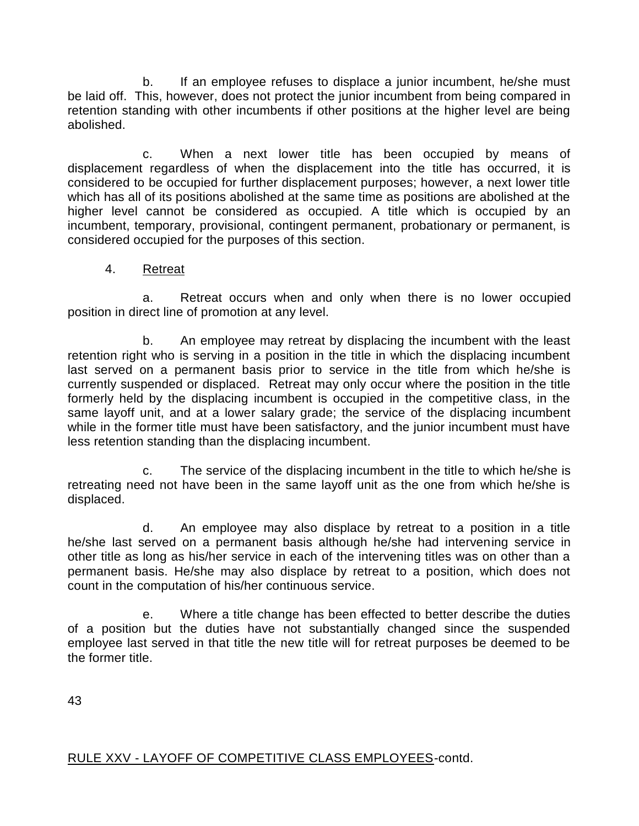b. If an employee refuses to displace a junior incumbent, he/she must be laid off. This, however, does not protect the junior incumbent from being compared in retention standing with other incumbents if other positions at the higher level are being abolished.

c. When a next lower title has been occupied by means of displacement regardless of when the displacement into the title has occurred, it is considered to be occupied for further displacement purposes; however, a next lower title which has all of its positions abolished at the same time as positions are abolished at the higher level cannot be considered as occupied. A title which is occupied by an incumbent, temporary, provisional, contingent permanent, probationary or permanent, is considered occupied for the purposes of this section.

# 4. Retreat

a. Retreat occurs when and only when there is no lower occupied position in direct line of promotion at any level.

b. An employee may retreat by displacing the incumbent with the least retention right who is serving in a position in the title in which the displacing incumbent last served on a permanent basis prior to service in the title from which he/she is currently suspended or displaced. Retreat may only occur where the position in the title formerly held by the displacing incumbent is occupied in the competitive class, in the same layoff unit, and at a lower salary grade; the service of the displacing incumbent while in the former title must have been satisfactory, and the junior incumbent must have less retention standing than the displacing incumbent.

c. The service of the displacing incumbent in the title to which he/she is retreating need not have been in the same layoff unit as the one from which he/she is displaced.

d. An employee may also displace by retreat to a position in a title he/she last served on a permanent basis although he/she had intervening service in other title as long as his/her service in each of the intervening titles was on other than a permanent basis. He/she may also displace by retreat to a position, which does not count in the computation of his/her continuous service.

e. Where a title change has been effected to better describe the duties of a position but the duties have not substantially changed since the suspended employee last served in that title the new title will for retreat purposes be deemed to be the former title.

43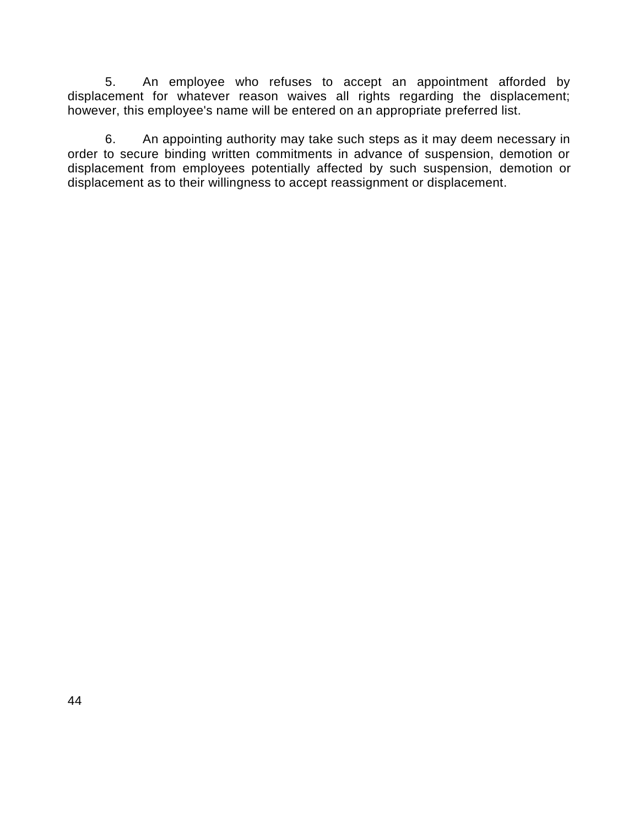5. An employee who refuses to accept an appointment afforded by displacement for whatever reason waives all rights regarding the displacement; however, this employee's name will be entered on an appropriate preferred list.

6. An appointing authority may take such steps as it may deem necessary in order to secure binding written commitments in advance of suspension, demotion or displacement from employees potentially affected by such suspension, demotion or displacement as to their willingness to accept reassignment or displacement.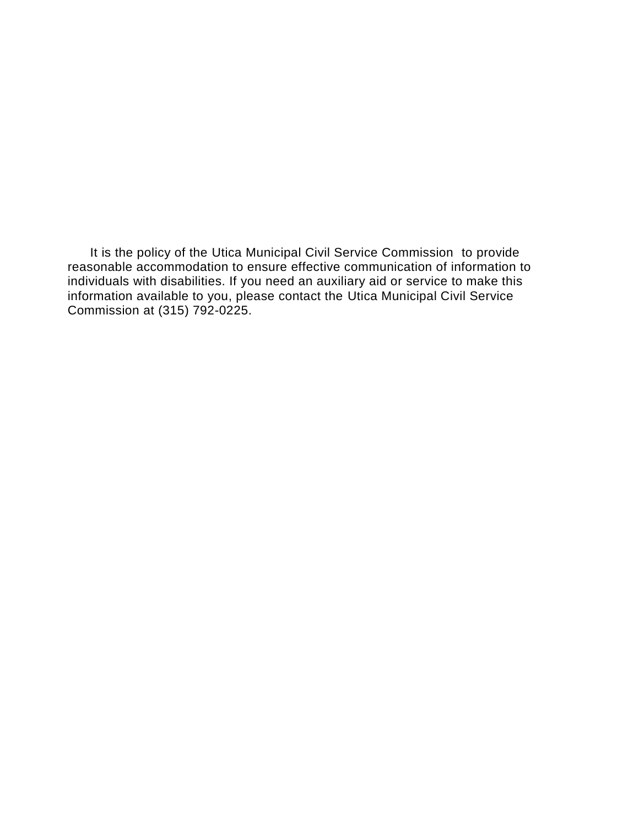It is the policy of the Utica Municipal Civil Service Commission to provide reasonable accommodation to ensure effective communication of information to individuals with disabilities. If you need an auxiliary aid or service to make this information available to you, please contact the Utica Municipal Civil Service Commission at (315) 792-0225.